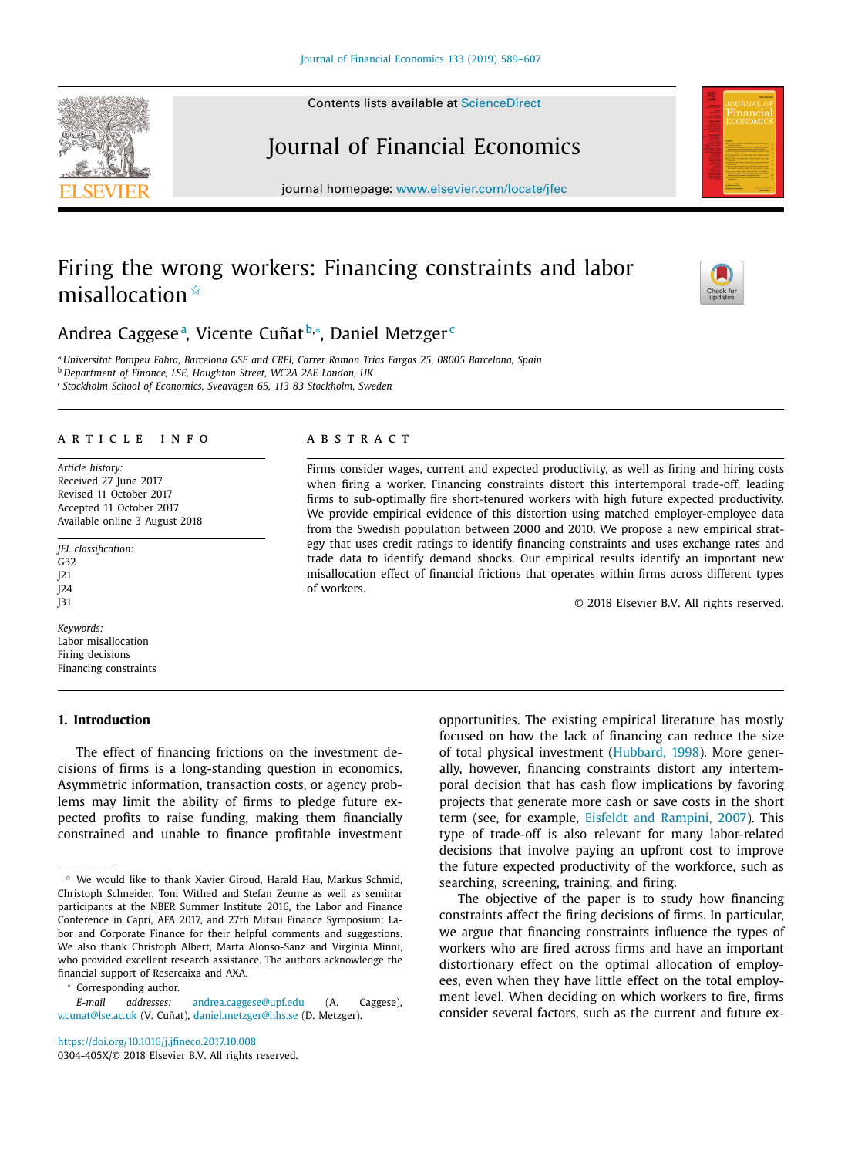Contents lists available at [ScienceDirect](http://www.ScienceDirect.com)

# Journal of Financial Economics

journal homepage: [www.elsevier.com/locate/jfec](http://www.elsevier.com/locate/jfec)

# Firing the wrong workers: Financing constraints and labor misallocation $\frac{A}{A}$

Andrea Caggeseª, Vicente Cuñat<sup>b,</sup>\*, Daniel Metzger<sup>c</sup>

<sup>a</sup> *Universitat Pompeu Fabra, Barcelona GSE and CREI, Carrer Ramon Trias Fargas 25, 08005 Barcelona, Spain* <sup>b</sup> *Department of Finance, LSE, Houghton Street, WC2A 2AE London, UK* <sup>c</sup> *Stockholm School of Economics, Sveavägen 65, 113 83 Stockholm, Sweden*

#### a r t i c l e i n f o

*Article history:* Received 27 June 2017 Revised 11 October 2017 Accepted 11 October 2017 Available online 3 August 2018

*JEL classification:* G32 J21 J24 J31

*Keywords:* Labor misallocation Firing decisions Financing constraints

#### **1. Introduction**

The effect of financing frictions on the investment decisions of firms is a long-standing question in economics. Asymmetric information, transaction costs, or agency problems may limit the ability of firms to pledge future expected profits to raise funding, making them financially constrained and unable to finance profitable investment

<sup>∗</sup> Corresponding author.

<https://doi.org/10.1016/j.jfineco.2017.10.008>

0304-405X/© 2018 Elsevier B.V. All rights reserved.

# a b s t r a c t

Firms consider wages, current and expected productivity, as well as firing and hiring costs when firing a worker. Financing constraints distort this intertemporal trade-off, leading firms to sub-optimally fire short-tenured workers with high future expected productivity. We provide empirical evidence of this distortion using matched employer-employee data from the Swedish population between 2000 and 2010. We propose a new empirical strategy that uses credit ratings to identify financing constraints and uses exchange rates and trade data to identify demand shocks. Our empirical results identify an important new misallocation effect of financial frictions that operates within firms across different types of workers.

© 2018 Elsevier B.V. All rights reserved.

opportunities. The existing empirical literature has mostly focused on how the lack of financing can reduce the size of total physical investment [\(Hubbard,](#page-18-0) 1998). More generally, however, financing constraints distort any intertemporal decision that has cash flow implications by favoring projects that generate more cash or save costs in the short term (see, for example, Eisfeldt and [Rampini,](#page-18-0) 2007). This type of trade-off is also relevant for many labor-related decisions that involve paying an upfront cost to improve the future expected productivity of the workforce, such as searching, screening, training, and firing.

The objective of the paper is to study how financing constraints affect the firing decisions of firms. In particular, we argue that financing constraints influence the types of workers who are fired across firms and have an important distortionary effect on the optimal allocation of employees, even when they have little effect on the total employment level. When deciding on which workers to fire, firms consider several factors, such as the current and future ex-







 $*$  We would like to thank Xavier Giroud, Harald Hau, Markus Schmid, Christoph Schneider, Toni Withed and Stefan Zeume as well as seminar participants at the NBER Summer Institute 2016, the Labor and Finance Conference in Capri, AFA 2017, and 27th Mitsui Finance Symposium: Labor and Corporate Finance for their helpful comments and suggestions. We also thank Christoph Albert, Marta Alonso-Sanz and Virginia Minni, who provided excellent research assistance. The authors acknowledge the financial support of Resercaixa and AXA.

*E-mail addresses:* [andrea.caggese@upf.edu](mailto:andrea.caggese@upf.edu) (A. Caggese), [v.cunat@lse.ac.uk](mailto:v.cunat@lse.ac.uk) (V. Cuñat), [daniel.metzger@hhs.se](mailto:daniel.metzger@hhs.se) (D. Metzger).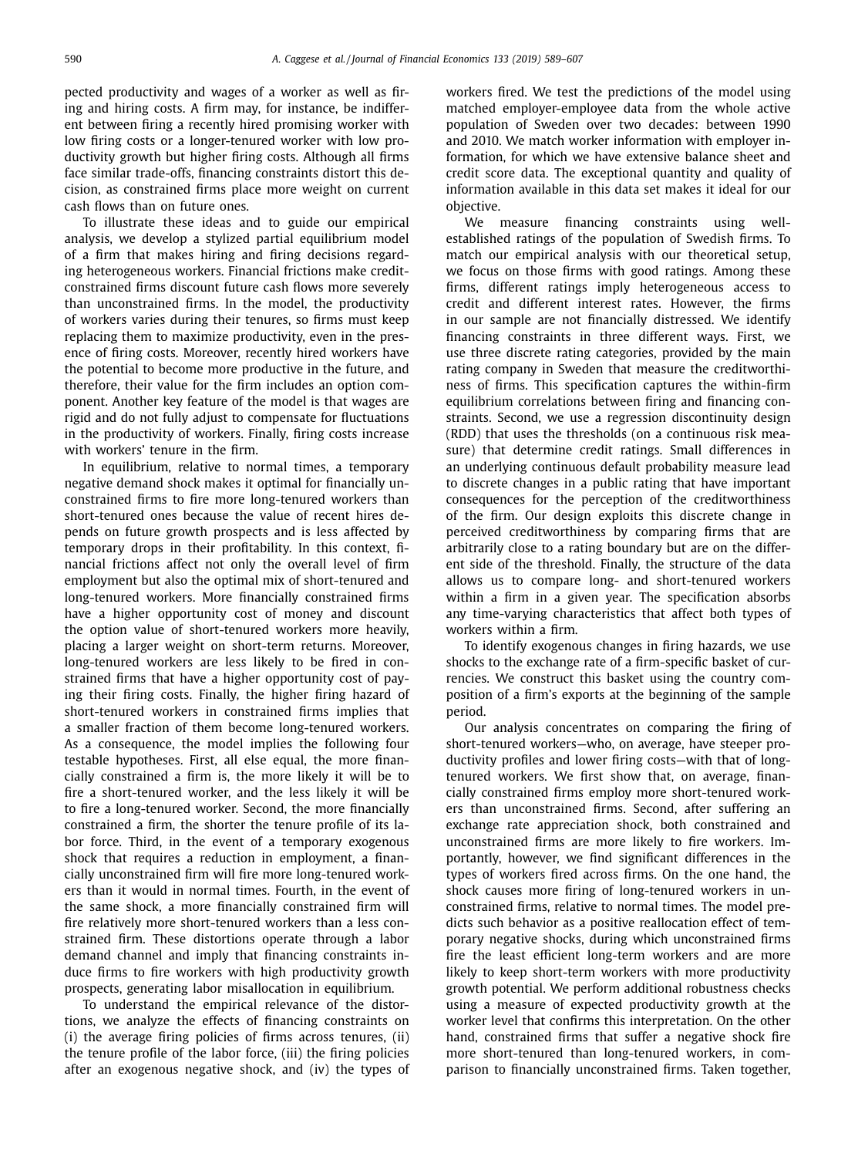pected productivity and wages of a worker as well as firing and hiring costs. A firm may, for instance, be indifferent between firing a recently hired promising worker with low firing costs or a longer-tenured worker with low productivity growth but higher firing costs. Although all firms face similar trade-offs, financing constraints distort this decision, as constrained firms place more weight on current cash flows than on future ones.

To illustrate these ideas and to guide our empirical analysis, we develop a stylized partial equilibrium model of a firm that makes hiring and firing decisions regarding heterogeneous workers. Financial frictions make creditconstrained firms discount future cash flows more severely than unconstrained firms. In the model, the productivity of workers varies during their tenures, so firms must keep replacing them to maximize productivity, even in the presence of firing costs. Moreover, recently hired workers have the potential to become more productive in the future, and therefore, their value for the firm includes an option component. Another key feature of the model is that wages are rigid and do not fully adjust to compensate for fluctuations in the productivity of workers. Finally, firing costs increase with workers' tenure in the firm.

In equilibrium, relative to normal times, a temporary negative demand shock makes it optimal for financially unconstrained firms to fire more long-tenured workers than short-tenured ones because the value of recent hires depends on future growth prospects and is less affected by temporary drops in their profitability. In this context, financial frictions affect not only the overall level of firm employment but also the optimal mix of short-tenured and long-tenured workers. More financially constrained firms have a higher opportunity cost of money and discount the option value of short-tenured workers more heavily, placing a larger weight on short-term returns. Moreover, long-tenured workers are less likely to be fired in constrained firms that have a higher opportunity cost of paying their firing costs. Finally, the higher firing hazard of short-tenured workers in constrained firms implies that a smaller fraction of them become long-tenured workers. As a consequence, the model implies the following four testable hypotheses. First, all else equal, the more financially constrained a firm is, the more likely it will be to fire a short-tenured worker, and the less likely it will be to fire a long-tenured worker. Second, the more financially constrained a firm, the shorter the tenure profile of its labor force. Third, in the event of a temporary exogenous shock that requires a reduction in employment, a financially unconstrained firm will fire more long-tenured workers than it would in normal times. Fourth, in the event of the same shock, a more financially constrained firm will fire relatively more short-tenured workers than a less constrained firm. These distortions operate through a labor demand channel and imply that financing constraints induce firms to fire workers with high productivity growth prospects, generating labor misallocation in equilibrium.

To understand the empirical relevance of the distortions, we analyze the effects of financing constraints on (i) the average firing policies of firms across tenures, (ii) the tenure profile of the labor force, (iii) the firing policies after an exogenous negative shock, and (iv) the types of workers fired. We test the predictions of the model using matched employer-employee data from the whole active population of Sweden over two decades: between 1990 and 2010. We match worker information with employer information, for which we have extensive balance sheet and credit score data. The exceptional quantity and quality of information available in this data set makes it ideal for our objective.

We measure financing constraints using wellestablished ratings of the population of Swedish firms. To match our empirical analysis with our theoretical setup, we focus on those firms with good ratings. Among these firms, different ratings imply heterogeneous access to credit and different interest rates. However, the firms in our sample are not financially distressed. We identify financing constraints in three different ways. First, we use three discrete rating categories, provided by the main rating company in Sweden that measure the creditworthiness of firms. This specification captures the within-firm equilibrium correlations between firing and financing constraints. Second, we use a regression discontinuity design (RDD) that uses the thresholds (on a continuous risk measure) that determine credit ratings. Small differences in an underlying continuous default probability measure lead to discrete changes in a public rating that have important consequences for the perception of the creditworthiness of the firm. Our design exploits this discrete change in perceived creditworthiness by comparing firms that are arbitrarily close to a rating boundary but are on the different side of the threshold. Finally, the structure of the data allows us to compare long- and short-tenured workers within a firm in a given year. The specification absorbs any time-varying characteristics that affect both types of workers within a firm.

To identify exogenous changes in firing hazards, we use shocks to the exchange rate of a firm-specific basket of currencies. We construct this basket using the country composition of a firm's exports at the beginning of the sample period.

Our analysis concentrates on comparing the firing of short-tenured workers—who, on average, have steeper productivity profiles and lower firing costs—with that of longtenured workers. We first show that, on average, financially constrained firms employ more short-tenured workers than unconstrained firms. Second, after suffering an exchange rate appreciation shock, both constrained and unconstrained firms are more likely to fire workers. Importantly, however, we find significant differences in the types of workers fired across firms. On the one hand, the shock causes more firing of long-tenured workers in unconstrained firms, relative to normal times. The model predicts such behavior as a positive reallocation effect of temporary negative shocks, during which unconstrained firms fire the least efficient long-term workers and are more likely to keep short-term workers with more productivity growth potential. We perform additional robustness checks using a measure of expected productivity growth at the worker level that confirms this interpretation. On the other hand, constrained firms that suffer a negative shock fire more short-tenured than long-tenured workers, in comparison to financially unconstrained firms. Taken together,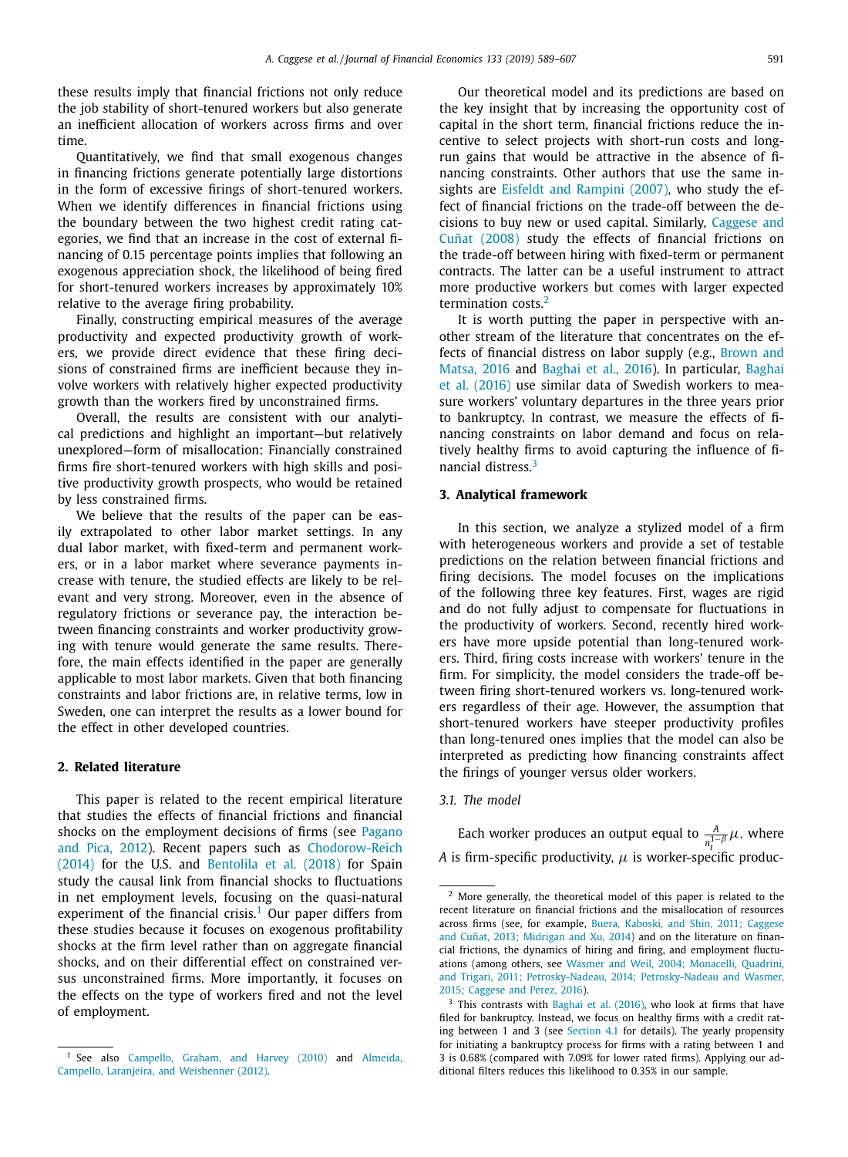<span id="page-2-0"></span>these results imply that financial frictions not only reduce the job stability of short-tenured workers but also generate an inefficient allocation of workers across firms and over time.

Quantitatively, we find that small exogenous changes in financing frictions generate potentially large distortions in the form of excessive firings of short-tenured workers. When we identify differences in financial frictions using the boundary between the two highest credit rating categories, we find that an increase in the cost of external financing of 0.15 percentage points implies that following an exogenous appreciation shock, the likelihood of being fired for short-tenured workers increases by approximately 10% relative to the average firing probability.

Finally, constructing empirical measures of the average productivity and expected productivity growth of workers, we provide direct evidence that these firing decisions of constrained firms are inefficient because they involve workers with relatively higher expected productivity growth than the workers fired by unconstrained firms.

Overall, the results are consistent with our analytical predictions and highlight an important—but relatively unexplored—form of misallocation: Financially constrained firms fire short-tenured workers with high skills and positive productivity growth prospects, who would be retained by less constrained firms.

We believe that the results of the paper can be easily extrapolated to other labor market settings. In any dual labor market, with fixed-term and permanent workers, or in a labor market where severance payments increase with tenure, the studied effects are likely to be relevant and very strong. Moreover, even in the absence of regulatory frictions or severance pay, the interaction between financing constraints and worker productivity growing with tenure would generate the same results. Therefore, the main effects identified in the paper are generally applicable to most labor markets. Given that both financing constraints and labor frictions are, in relative terms, low in Sweden, one can interpret the results as a lower bound for the effect in other developed countries.

## **2. Related literature**

This paper is related to the recent empirical literature that studies the effects of financial frictions and financial shocks on the employment decisions of firms (see Pagano and Pica, 2012). Recent papers such as [Chodorow-Reich](#page-18-0) (2014) for the U.S. and [Bentolila](#page-18-0) et al. (2018) for Spain study the causal link from financial shocks to fluctuations in net employment levels, focusing on the quasi-natural experiment of the financial crisis.<sup>1</sup> Our paper differs from these studies because it focuses on exogenous profitability shocks at the firm level rather than on aggregate financial shocks, and on their differential effect on constrained versus unconstrained firms. More importantly, it focuses on the effects on the type of workers fired and not the level of employment.

Our theoretical model and its predictions are based on the key insight that by increasing the opportunity cost of capital in the short term, financial frictions reduce the incentive to select projects with short-run costs and longrun gains that would be attractive in the absence of financing constraints. Other authors that use the same insights are Eisfeldt and [Rampini](#page-18-0) (2007), who study the effect of financial frictions on the trade-off between the decisions to buy new or used capital. [Similarly,](#page-18-0) Caggese and Cuñat (2008) study the effects of financial frictions on the trade-off between hiring with fixed-term or permanent contracts. The latter can be a useful instrument to attract more productive workers but comes with larger expected termination costs. $2$ 

It is worth putting the paper in perspective with another stream of the literature that concentrates on the effects of financial distress on labor supply (e.g., Brown and Matsa, 2016 and [Baghai](#page-18-0) et al., 2016). In [particular,](#page-18-0) Baghai et al. (2016) use similar data of Swedish workers to measure workers' voluntary departures in the three years prior to bankruptcy. In contrast, we measure the effects of financing constraints on labor demand and focus on relatively healthy firms to avoid capturing the influence of financial distress.<sup>3</sup>

## **3. Analytical framework**

In this section, we analyze a stylized model of a firm with heterogeneous workers and provide a set of testable predictions on the relation between financial frictions and firing decisions. The model focuses on the implications of the following three key features. First, wages are rigid and do not fully adjust to compensate for fluctuations in the productivity of workers. Second, recently hired workers have more upside potential than long-tenured workers. Third, firing costs increase with workers' tenure in the firm. For simplicity, the model considers the trade-off between firing short-tenured workers vs. long-tenured workers regardless of their age. However, the assumption that short-tenured workers have steeper productivity profiles than long-tenured ones implies that the model can also be interpreted as predicting how financing constraints affect the firings of younger versus older workers.

## *3.1. The model*

Each worker produces an output equal to  $\frac{A}{n_t^{1-\beta}}\mu$ , where *A* is firm-specific productivity,  $\mu$  is worker-specific produc-

<sup>1</sup> See also [Campello,](#page-18-0) Graham, and Harvey (2010) and Almeida, Campello, Laranjeira, and [Weisbenner](#page-18-0) (2012).

<sup>2</sup> More generally, the theoretical model of this paper is related to the recent literature on financial frictions and the misallocation of resources across firms (see, for example, Buera, Kaboski, and Shin, 2011; Caggese and Cuñat, 2013; Midrigan and Xu, 2014) and on the [literature](#page-18-0) on financial frictions, the dynamics of hiring and firing, and employment fluctuations (among others, see Wasmer and Weil, 2004; Monacelli, Quadrini, and Trigari, 2011; [Petrosky-Nadeau,](#page-18-0) 2014; Petrosky-Nadeau and Wasmer, 2015; Caggese and Perez, 2016).

 $3$  This contrasts with Baghai et al. [\(2016\),](#page-18-0) who look at firms that have filed for bankruptcy. Instead, we focus on healthy firms with a credit rating between 1 and 3 (see [Section](#page-5-0) 4.1 for details). The yearly propensity for initiating a bankruptcy process for firms with a rating between 1 and 3 is 0.68% (compared with 7.09% for lower rated firms). Applying our additional filters reduces this likelihood to 0.35% in our sample.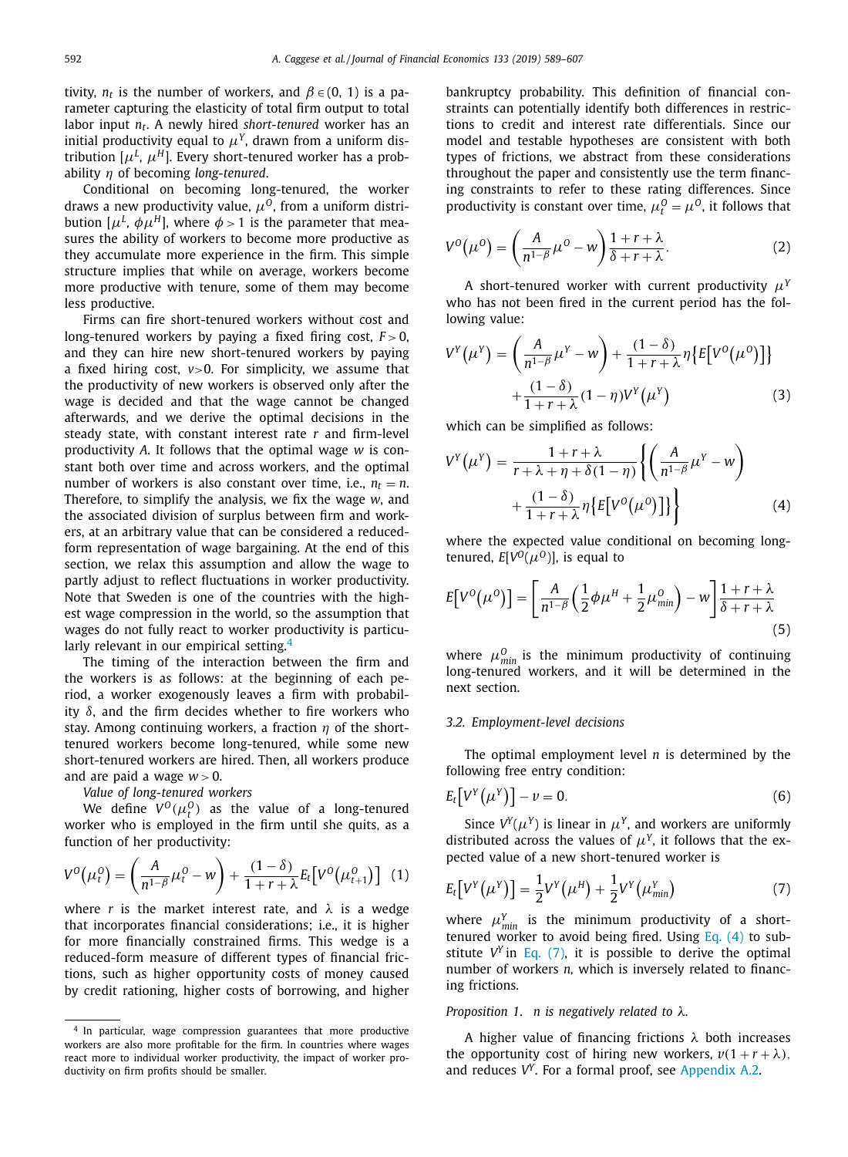<span id="page-3-0"></span>tivity,  $n_t$  is the number of workers, and  $\beta \in (0, 1)$  is a parameter capturing the elasticity of total firm output to total labor input *nt*. A newly hired *short-tenured* worker has an initial productivity equal to  $\mu<sup>Y</sup>$ , drawn from a uniform distribution  $[\mu^L, \mu^H]$ . Every short-tenured worker has a probability η of becoming *long-tenured*.

Conditional on becoming long-tenured, the worker draws a new productivity value,  $\mu^{0}$ , from a uniform distribution  $[\mu^L, \phi \mu^H]$ , where  $\phi > 1$  is the parameter that measures the ability of workers to become more productive as they accumulate more experience in the firm. This simple structure implies that while on average, workers become more productive with tenure, some of them may become less productive.

Firms can fire short-tenured workers without cost and long-tenured workers by paying a fixed firing cost,  $F > 0$ , and they can hire new short-tenured workers by paying a fixed hiring cost,  $v > 0$ . For simplicity, we assume that the productivity of new workers is observed only after the wage is decided and that the wage cannot be changed afterwards, and we derive the optimal decisions in the steady state, with constant interest rate *r* and firm-level productivity *A*. It follows that the optimal wage *w* is constant both over time and across workers, and the optimal number of workers is also constant over time, i.e.,  $n_t = n$ . Therefore, to simplify the analysis, we fix the wage *w*, and the associated division of surplus between firm and workers, at an arbitrary value that can be considered a reducedform representation of wage bargaining. At the end of this section, we relax this assumption and allow the wage to partly adjust to reflect fluctuations in worker productivity. Note that Sweden is one of the countries with the highest wage compression in the world, so the assumption that wages do not fully react to worker productivity is particularly relevant in our empirical setting.<sup>4</sup>

The timing of the interaction between the firm and the workers is as follows: at the beginning of each period, a worker exogenously leaves a firm with probability  $\delta$ , and the firm decides whether to fire workers who stay. Among continuing workers, a fraction  $\eta$  of the shorttenured workers become long-tenured, while some new short-tenured workers are hired. Then, all workers produce and are paid a wage  $w > 0$ .

*Value of long-tenured workers*

We define  $V^0(\mu^0_t)$  as the value of a long-tenured worker who is employed in the firm until she quits, as a function of her productivity:

$$
V^{0}(\mu_{t}^{0}) = \left(\frac{A}{n^{1-\beta}}\mu_{t}^{0} - w\right) + \frac{(1-\delta)}{1+r+\lambda}E_{t}\big[V^{0}(\mu_{t+1}^{0})\big] \tag{1}
$$

where *r* is the market interest rate, and  $\lambda$  is a wedge that incorporates financial considerations; i.e., it is higher for more financially constrained firms. This wedge is a reduced-form measure of different types of financial frictions, such as higher opportunity costs of money caused by credit rationing, higher costs of borrowing, and higher bankruptcy probability. This definition of financial constraints can potentially identify both differences in restrictions to credit and interest rate differentials. Since our model and testable hypotheses are consistent with both types of frictions, we abstract from these considerations throughout the paper and consistently use the term financing constraints to refer to these rating differences. Since productivity is constant over time,  $\mu_t^0 = \mu^0$ , it follows that

$$
V^{0}(\mu^{0}) = \left(\frac{A}{n^{1-\beta}}\mu^{0} - w\right)\frac{1+r+\lambda}{\delta+r+\lambda}.
$$
 (2)

A short-tenured worker with current productivity μ*<sup>Y</sup>* who has not been fired in the current period has the following value:

$$
V^{Y}(\mu^{Y}) = \left(\frac{A}{n^{1-\beta}}\mu^{Y} - w\right) + \frac{(1-\delta)}{1+r+\lambda}\eta\left\{E[V^{0}(\mu^{0})]\right\} + \frac{(1-\delta)}{1+r+\lambda}(1-\eta)V^{Y}(\mu^{Y})
$$
(3)

which can be simplified as follows:

$$
V^{Y}(\mu^{Y}) = \frac{1+r+\lambda}{r+\lambda+\eta+\delta(1-\eta)} \left\{ \left( \frac{A}{n^{1-\beta}} \mu^{Y} - w \right) + \frac{(1-\delta)}{1+r+\lambda} \eta \left\{ E[V^{0}(\mu^{0})] \right\} \right\}
$$
(4)

where the expected value conditional on becoming longtenured,  $E[V^0(\mu^0)]$ , is equal to

$$
E[V^{O}(\mu^{O})] = \left[\frac{A}{n^{1-\beta}}\left(\frac{1}{2}\phi\mu^{H} + \frac{1}{2}\mu_{min}^{O}\right) - w\right]\frac{1+r+\lambda}{\delta+r+\lambda}
$$
\n(5)

where  $\mu_{min}^0$  is the minimum productivity of continuing long-tenured workers, and it will be determined in the next section.

## *3.2. Employment-level decisions*

The optimal employment level *n* is determined by the following free entry condition:

$$
E_t\big[V^Y(\mu^Y)\big] - \nu = 0. \tag{6}
$$

Since  $V^Y(\mu^Y)$  is linear in  $\mu^Y$ , and workers are uniformly distributed across the values of  $\mu^{Y}$ , it follows that the expected value of a new short-tenured worker is

$$
E_t[V^Y(\mu^Y)] = \frac{1}{2}V^Y(\mu^H) + \frac{1}{2}V^Y(\mu^Y_{min})
$$
\n(7)

where  $\mu_{min}^{Y}$  is the minimum productivity of a shorttenured worker to avoid being fired. Using Eq.  $(4)$  to substitute  $V^Y$  in Eq. (7), it is possible to derive the optimal number of workers *n,* which is inversely related to financing frictions.

## *Proposition 1*. *n is negatively related to* λ*.*

A higher value of financing frictions  $\lambda$  both increases the opportunity cost of hiring new workers,  $v(1 + r + \lambda)$ , and reduces *VY*. For a formal proof, see [Appendix](#page-16-0) A.2.

<sup>4</sup> In particular, wage compression guarantees that more productive workers are also more profitable for the firm. In countries where wages react more to individual worker productivity, the impact of worker productivity on firm profits should be smaller.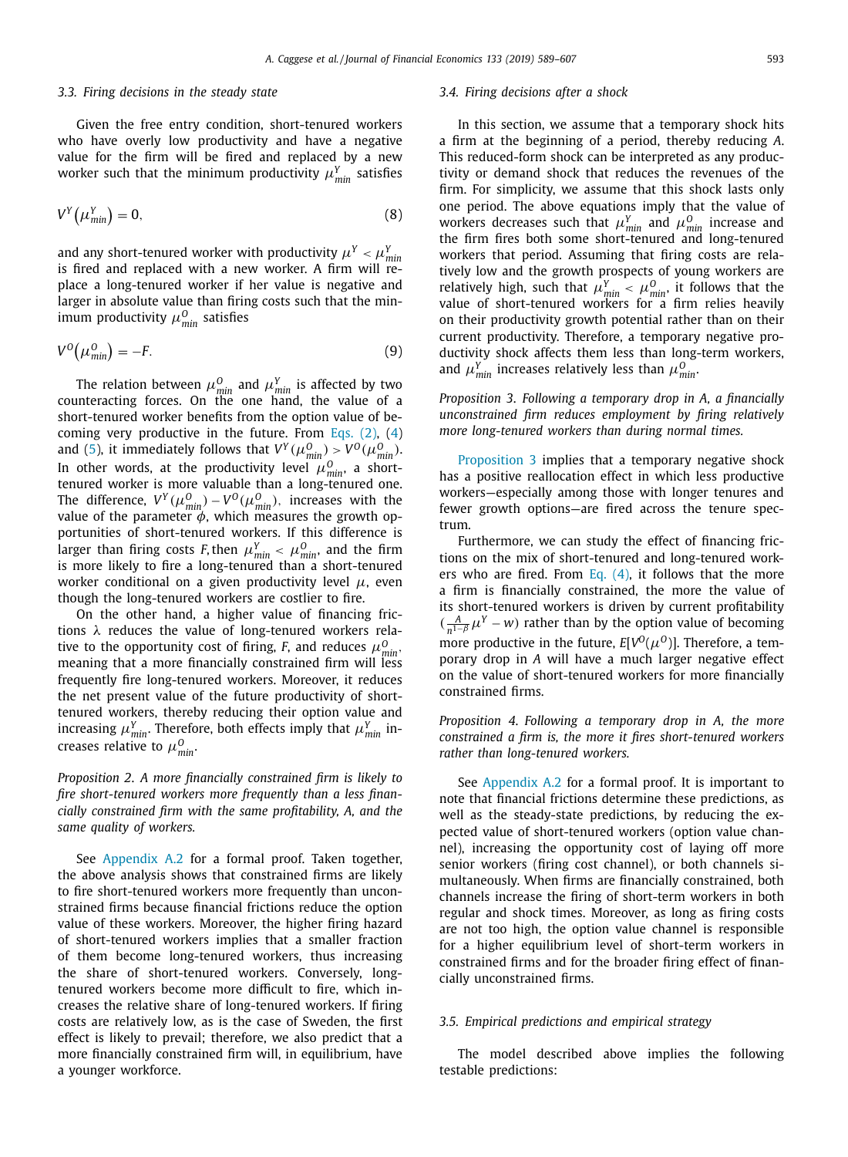## <span id="page-4-0"></span>*3.3. Firing decisions in the steady state*

Given the free entry condition, short-tenured workers who have overly low productivity and have a negative value for the firm will be fired and replaced by a new worker such that the minimum productivity  $\mu_{min}^{Y}$  satisfies

$$
V^{Y}\left(\mu_{min}^{Y}\right) = 0, \tag{8}
$$

and any short-tenured worker with productivity  $\mu^{Y} < \mu^{Y}_{min}$ is fired and replaced with a new worker. A firm will replace a long-tenured worker if her value is negative and larger in absolute value than firing costs such that the minimum productivity  $\mu_{min}^0$  satisfies

$$
V^{0}(\mu_{\min}^{0}) = -F.
$$
\n(9)

The relation between  $\mu_{min}^0$  and  $\mu_{min}^Y$  is affected by two counteracting forces. On the one hand, the value of a short-tenured worker benefits from the option value of becoming very productive in the future. From [Eqs.](#page-3-0) (2), [\(4\)](#page-3-0) and [\(5\)](#page-3-0), it immediately follows that  $V^Y(\mu_{min}^0) > V^0(\mu_{min}^0)$ . In other words, at the productivity level  $\mu_{min}^0$ , a shorttenured worker is more valuable than a long-tenured one. The difference,  $V^Y(\mu_{min}^0) - V^0(\mu_{min}^0)$ , increases with the value of the parameter  $\phi$ , which measures the growth opportunities of short-tenured workers. If this difference is larger than firing costs *F*, then  $\mu_{min}^Y < \mu_{min}^0$ , and the firm is more likely to fire a long-tenured than a short-tenured worker conditional on a given productivity level  $\mu$ , even though the long-tenured workers are costlier to fire.

On the other hand, a higher value of financing frictions  $\lambda$  reduces the value of long-tenured workers relative to the opportunity cost of firing, *F*, and reduces  $\mu_{min}^0$ , meaning that a more financially constrained firm will less frequently fire long-tenured workers. Moreover, it reduces the net present value of the future productivity of shorttenured workers, thereby reducing their option value and increasing  $\mu_{min}^Y$ . Therefore, both effects imply that  $\mu_{min}^Y$  increases relative to  $\mu_{min}^0$ .

*Proposition 2*. *A more financially constrained firm is likely to fire short-tenured workers more frequently than a less financially constrained firm with the same profitability, A, and the same quality of workers.*

See [Appendix](#page-16-0) A.2 for a formal proof. Taken together, the above analysis shows that constrained firms are likely to fire short-tenured workers more frequently than unconstrained firms because financial frictions reduce the option value of these workers. Moreover, the higher firing hazard of short-tenured workers implies that a smaller fraction of them become long-tenured workers, thus increasing the share of short-tenured workers. Conversely, longtenured workers become more difficult to fire, which increases the relative share of long-tenured workers. If firing costs are relatively low, as is the case of Sweden, the first effect is likely to prevail; therefore, we also predict that a more financially constrained firm will, in equilibrium, have a younger workforce.

#### *3.4. Firing decisions after a shock*

In this section, we assume that a temporary shock hits a firm at the beginning of a period, thereby reducing *A*. This reduced-form shock can be interpreted as any productivity or demand shock that reduces the revenues of the firm. For simplicity, we assume that this shock lasts only one period. The above equations imply that the value of workers decreases such that  $\mu_{\min}^Y$  and  $\mu_{\min}^O$  increase and the firm fires both some short-tenured and long-tenured workers that period. Assuming that firing costs are relatively low and the growth prospects of young workers are relatively high, such that  $\mu_{min}^Y < \mu_{min}^O$ , it follows that the value of short-tenured workers for a firm relies heavily on their productivity growth potential rather than on their current productivity. Therefore, a temporary negative productivity shock affects them less than long-term workers, and  $\mu_{min}^Y$  increases relatively less than  $\mu_{min}^O$ .

*Proposition 3*. *Following a temporary drop in A, a financially unconstrained firm reduces employment by firing relatively more long-tenured workers than during normal times.*

Proposition 3 implies that a temporary negative shock has a positive reallocation effect in which less productive workers—especially among those with longer tenures and fewer growth options—are fired across the tenure spectrum.

Furthermore, we can study the effect of financing frictions on the mix of short-tenured and long-tenured workers who are fired. From Eq.  $(4)$ , it follows that the more a firm is financially constrained, the more the value of its short-tenured workers is driven by current profitability  $(\frac{A}{n^{1-\beta}}\mu^Y - w)$  rather than by the option value of becoming more productive in the future,  $E[V^0(\mu^0)]$ . Therefore, a temporary drop in *A* will have a much larger negative effect on the value of short-tenured workers for more financially constrained firms.

*Proposition 4*. *Following a temporary drop in A, the more constrained a firm is, the more it fires short-tenured workers rather than long-tenured workers.*

See [Appendix](#page-16-0) A.2 for a formal proof. It is important to note that financial frictions determine these predictions, as well as the steady-state predictions, by reducing the expected value of short-tenured workers (option value channel), increasing the opportunity cost of laying off more senior workers (firing cost channel), or both channels simultaneously. When firms are financially constrained, both channels increase the firing of short-term workers in both regular and shock times. Moreover, as long as firing costs are not too high, the option value channel is responsible for a higher equilibrium level of short-term workers in constrained firms and for the broader firing effect of financially unconstrained firms.

# *3.5. Empirical predictions and empirical strategy*

The model described above implies the following testable predictions: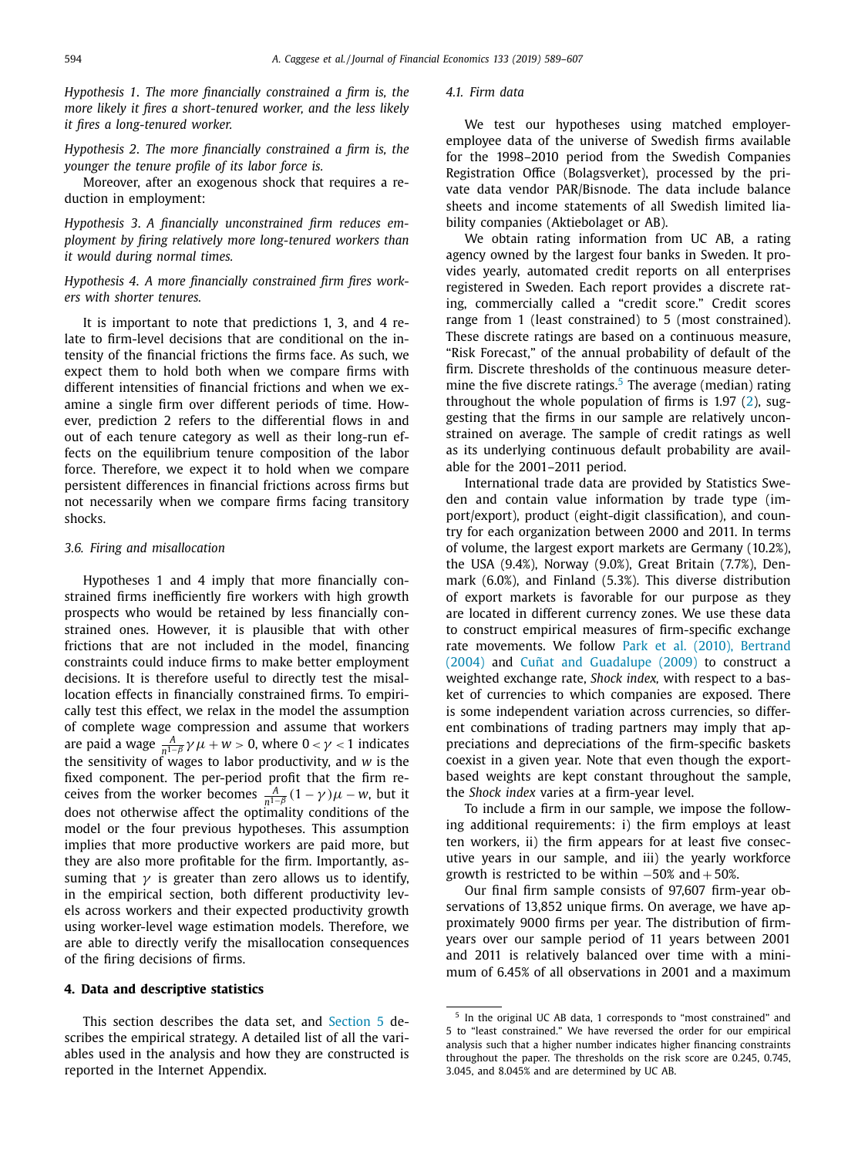<span id="page-5-0"></span>*Hypothesis 1*. *The more financially constrained a firm is, the more likely it fires a short-tenured worker, and the less likely it fires a long-tenured worker.*

*Hypothesis 2*. *The more financially constrained a firm is, the younger the tenure profile of its labor force is.*

Moreover, after an exogenous shock that requires a reduction in employment:

*Hypothesis 3*. *A financially unconstrained firm reduces employment by firing relatively more long-tenured workers than it would during normal times.*

# *Hypothesis 4*. *A more financially constrained firm fires workers with shorter tenures.*

It is important to note that predictions 1, 3, and 4 relate to firm-level decisions that are conditional on the intensity of the financial frictions the firms face. As such, we expect them to hold both when we compare firms with different intensities of financial frictions and when we examine a single firm over different periods of time. However, prediction 2 refers to the differential flows in and out of each tenure category as well as their long-run effects on the equilibrium tenure composition of the labor force. Therefore, we expect it to hold when we compare persistent differences in financial frictions across firms but not necessarily when we compare firms facing transitory shocks.

#### *3.6. Firing and misallocation*

Hypotheses 1 and 4 imply that more financially constrained firms inefficiently fire workers with high growth prospects who would be retained by less financially constrained ones. However, it is plausible that with other frictions that are not included in the model, financing constraints could induce firms to make better employment decisions. It is therefore useful to directly test the misallocation effects in financially constrained firms. To empirically test this effect, we relax in the model the assumption of complete wage compression and assume that workers are paid a wage  $\frac{A}{n^{1-\beta}} \gamma \mu + w > 0$ , where  $0 < \gamma < 1$  indicates the sensitivity of wages to labor productivity, and *w* is the fixed component. The per-period profit that the firm receives from the worker becomes  $\frac{A}{n^{1-\beta}}(1-\gamma)\mu - w$ , but it does not otherwise affect the optimality conditions of the model or the four previous hypotheses. This assumption implies that more productive workers are paid more, but they are also more profitable for the firm. Importantly, assuming that  $\gamma$  is greater than zero allows us to identify, in the empirical section, both different productivity levels across workers and their expected productivity growth using worker-level wage estimation models. Therefore, we are able to directly verify the misallocation consequences of the firing decisions of firms.

#### **4. Data and descriptive statistics**

This section describes the data set, and [Section](#page-6-0) 5 describes the empirical strategy. A detailed list of all the variables used in the analysis and how they are constructed is reported in the Internet Appendix.

#### *4.1. Firm data*

We test our hypotheses using matched employeremployee data of the universe of Swedish firms available for the 1998–2010 period from the Swedish Companies Registration Office (Bolagsverket), processed by the private data vendor PAR/Bisnode. The data include balance sheets and income statements of all Swedish limited liability companies (Aktiebolaget or AB).

We obtain rating information from UC AB, a rating agency owned by the largest four banks in Sweden. It provides yearly, automated credit reports on all enterprises registered in Sweden. Each report provides a discrete rating, commercially called a "credit score." Credit scores range from 1 (least constrained) to 5 (most constrained). These discrete ratings are based on a continuous measure, "Risk Forecast," of the annual probability of default of the firm. Discrete thresholds of the continuous measure determine the five discrete ratings. $5$  The average (median) rating throughout the whole population of firms is 1.97 [\(2\)](#page-3-0), suggesting that the firms in our sample are relatively unconstrained on average. The sample of credit ratings as well as its underlying continuous default probability are available for the 2001–2011 period.

International trade data are provided by Statistics Sweden and contain value information by trade type (import/export), product (eight-digit classification), and country for each organization between 2000 and 2011. In terms of volume, the largest export markets are Germany (10.2%), the USA (9.4%), Norway (9.0%), Great Britain (7.7%), Denmark (6.0%), and Finland (5.3%). This diverse distribution of export markets is favorable for our purpose as they are located in different currency zones. We use these data to construct empirical measures of firm-specific exchange rate [movements.](#page-18-0) We follow Park et al. (2010), Bertrand (2004) and Cuñat and [Guadalupe](#page-18-0) (2009) to construct a weighted exchange rate, *Shock index,* with respect to a basket of currencies to which companies are exposed. There is some independent variation across currencies, so different combinations of trading partners may imply that appreciations and depreciations of the firm-specific baskets coexist in a given year. Note that even though the exportbased weights are kept constant throughout the sample, the *Shock index* varies at a firm-year level.

To include a firm in our sample, we impose the following additional requirements: i) the firm employs at least ten workers, ii) the firm appears for at least five consecutive years in our sample, and iii) the yearly workforce growth is restricted to be within  $-50\%$  and  $+50\%$ .

Our final firm sample consists of 97,607 firm-year observations of 13,852 unique firms. On average, we have approximately 9000 firms per year. The distribution of firmyears over our sample period of 11 years between 2001 and 2011 is relatively balanced over time with a minimum of 6.45% of all observations in 2001 and a maximum

<sup>5</sup> In the original UC AB data, 1 corresponds to "most constrained" and 5 to "least constrained." We have reversed the order for our empirical analysis such that a higher number indicates higher financing constraints throughout the paper. The thresholds on the risk score are 0.245, 0.745, 3.045, and 8.045% and are determined by UC AB.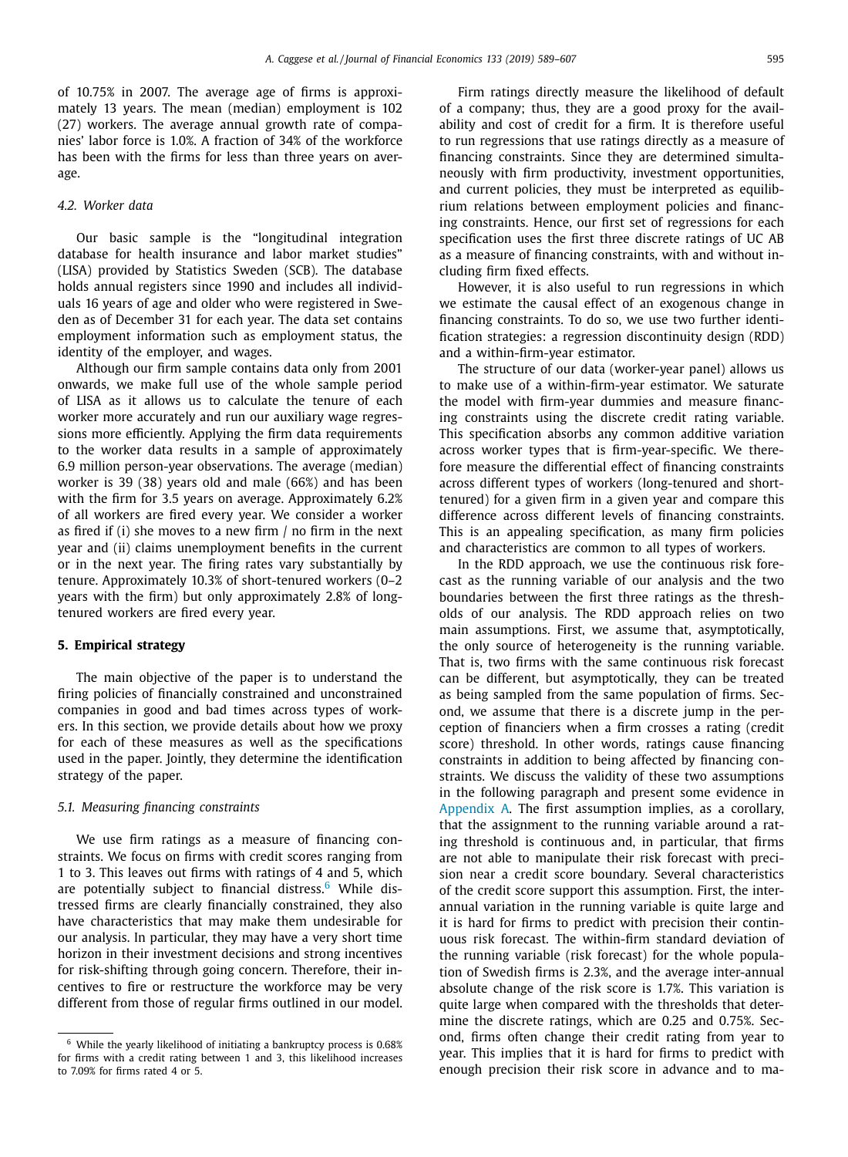<span id="page-6-0"></span>of 10.75% in 2007. The average age of firms is approximately 13 years. The mean (median) employment is 102 (27) workers. The average annual growth rate of companies' labor force is 1.0%. A fraction of 34% of the workforce has been with the firms for less than three years on average.

# *4.2. Worker data*

Our basic sample is the "longitudinal integration database for health insurance and labor market studies" (LISA) provided by Statistics Sweden (SCB). The database holds annual registers since 1990 and includes all individuals 16 years of age and older who were registered in Sweden as of December 31 for each year. The data set contains employment information such as employment status, the identity of the employer, and wages.

Although our firm sample contains data only from 2001 onwards, we make full use of the whole sample period of LISA as it allows us to calculate the tenure of each worker more accurately and run our auxiliary wage regressions more efficiently. Applying the firm data requirements to the worker data results in a sample of approximately 6.9 million person-year observations. The average (median) worker is 39 (38) years old and male (66%) and has been with the firm for 3.5 years on average. Approximately 6.2% of all workers are fired every year. We consider a worker as fired if (i) she moves to a new firm / no firm in the next year and (ii) claims unemployment benefits in the current or in the next year. The firing rates vary substantially by tenure. Approximately 10.3% of short-tenured workers (0–2 years with the firm) but only approximately 2.8% of longtenured workers are fired every year.

# **5. Empirical strategy**

The main objective of the paper is to understand the firing policies of financially constrained and unconstrained companies in good and bad times across types of workers. In this section, we provide details about how we proxy for each of these measures as well as the specifications used in the paper. Jointly, they determine the identification strategy of the paper.

#### *5.1. Measuring financing constraints*

We use firm ratings as a measure of financing constraints. We focus on firms with credit scores ranging from 1 to 3. This leaves out firms with ratings of 4 and 5, which are potentially subject to financial distress.<sup>6</sup> While distressed firms are clearly financially constrained, they also have characteristics that may make them undesirable for our analysis. In particular, they may have a very short time horizon in their investment decisions and strong incentives for risk-shifting through going concern. Therefore, their incentives to fire or restructure the workforce may be very different from those of regular firms outlined in our model.

Firm ratings directly measure the likelihood of default of a company; thus, they are a good proxy for the availability and cost of credit for a firm. It is therefore useful to run regressions that use ratings directly as a measure of financing constraints. Since they are determined simultaneously with firm productivity, investment opportunities, and current policies, they must be interpreted as equilibrium relations between employment policies and financing constraints. Hence, our first set of regressions for each specification uses the first three discrete ratings of UC AB as a measure of financing constraints, with and without including firm fixed effects.

However, it is also useful to run regressions in which we estimate the causal effect of an exogenous change in financing constraints. To do so, we use two further identification strategies: a regression discontinuity design (RDD) and a within-firm-year estimator.

The structure of our data (worker-year panel) allows us to make use of a within-firm-year estimator. We saturate the model with firm-year dummies and measure financing constraints using the discrete credit rating variable. This specification absorbs any common additive variation across worker types that is firm-year-specific. We therefore measure the differential effect of financing constraints across different types of workers (long-tenured and shorttenured) for a given firm in a given year and compare this difference across different levels of financing constraints. This is an appealing specification, as many firm policies and characteristics are common to all types of workers.

In the RDD approach, we use the continuous risk forecast as the running variable of our analysis and the two boundaries between the first three ratings as the thresholds of our analysis. The RDD approach relies on two main assumptions. First, we assume that, asymptotically, the only source of heterogeneity is the running variable. That is, two firms with the same continuous risk forecast can be different, but asymptotically, they can be treated as being sampled from the same population of firms. Second, we assume that there is a discrete jump in the perception of financiers when a firm crosses a rating (credit score) threshold. In other words, ratings cause financing constraints in addition to being affected by financing constraints. We discuss the validity of these two assumptions in the following paragraph and present some evidence in [Appendix](#page-16-0) A. The first assumption implies, as a corollary, that the assignment to the running variable around a rating threshold is continuous and, in particular, that firms are not able to manipulate their risk forecast with precision near a credit score boundary. Several characteristics of the credit score support this assumption. First, the interannual variation in the running variable is quite large and it is hard for firms to predict with precision their continuous risk forecast. The within-firm standard deviation of the running variable (risk forecast) for the whole population of Swedish firms is 2.3%, and the average inter-annual absolute change of the risk score is 1.7%. This variation is quite large when compared with the thresholds that determine the discrete ratings, which are 0.25 and 0.75%. Second, firms often change their credit rating from year to year. This implies that it is hard for firms to predict with enough precision their risk score in advance and to ma-

<sup>6</sup> While the yearly likelihood of initiating a bankruptcy process is 0.68% for firms with a credit rating between 1 and 3, this likelihood increases to 7.09% for firms rated 4 or 5.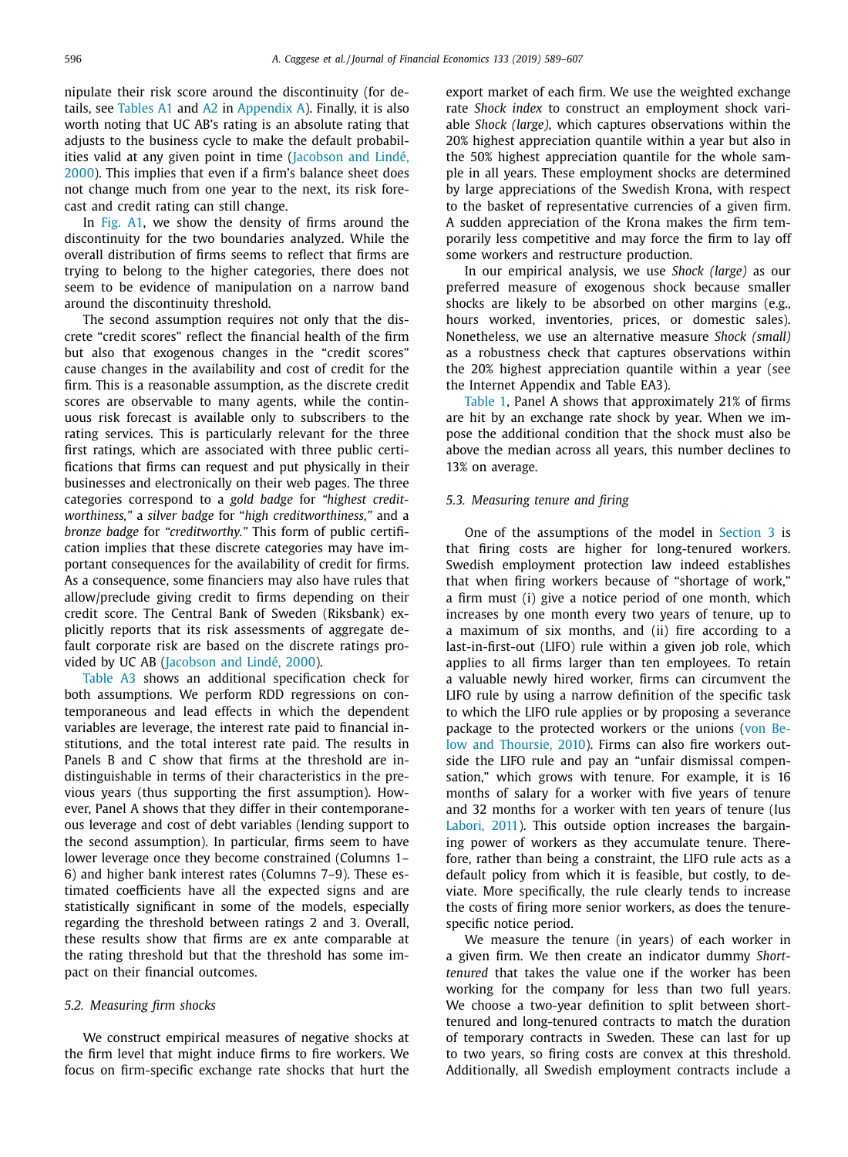nipulate their risk score around the discontinuity (for details, see [Tables](#page-16-0) A1 and [A2](#page-17-0) in [Appendix](#page-16-0) A). Finally, it is also worth noting that UC AB's rating is an absolute rating that adjusts to the business cycle to make the default probabilities valid at any given point in time [\(Jacobson](#page-18-0) and Lindé, 2000). This implies that even if a firm's balance sheet does not change much from one year to the next, its risk forecast and credit rating can still change.

In [Fig.](#page-16-0) A1, we show the density of firms around the discontinuity for the two boundaries analyzed. While the overall distribution of firms seems to reflect that firms are trying to belong to the higher categories, there does not seem to be evidence of manipulation on a narrow band around the discontinuity threshold.

The second assumption requires not only that the discrete "credit scores" reflect the financial health of the firm but also that exogenous changes in the "credit scores" cause changes in the availability and cost of credit for the firm. This is a reasonable assumption, as the discrete credit scores are observable to many agents, while the continuous risk forecast is available only to subscribers to the rating services. This is particularly relevant for the three first ratings, which are associated with three public certifications that firms can request and put physically in their businesses and electronically on their web pages. The three categories correspond to a *gold badge* for *"highest creditworthiness,"* a *silver badge* for "*high creditworthiness,"* and a *bronze badge* for *"creditworthy."* This form of public certification implies that these discrete categories may have important consequences for the availability of credit for firms. As a consequence, some financiers may also have rules that allow/preclude giving credit to firms depending on their credit score. The Central Bank of Sweden (Riksbank) explicitly reports that its risk assessments of aggregate default corporate risk are based on the discrete ratings provided by UC AB [\(Jacobson](#page-18-0) and Lindé, 2000).

[Table](#page-17-0) A3 shows an additional specification check for both assumptions. We perform RDD regressions on contemporaneous and lead effects in which the dependent variables are leverage, the interest rate paid to financial institutions, and the total interest rate paid. The results in Panels B and C show that firms at the threshold are indistinguishable in terms of their characteristics in the previous years (thus supporting the first assumption). However, Panel A shows that they differ in their contemporaneous leverage and cost of debt variables (lending support to the second assumption). In particular, firms seem to have lower leverage once they become constrained (Columns 1– 6) and higher bank interest rates (Columns 7–9). These estimated coefficients have all the expected signs and are statistically significant in some of the models, especially regarding the threshold between ratings 2 and 3. Overall, these results show that firms are ex ante comparable at the rating threshold but that the threshold has some impact on their financial outcomes.

#### *5.2. Measuring firm shocks*

We construct empirical measures of negative shocks at the firm level that might induce firms to fire workers. We focus on firm-specific exchange rate shocks that hurt the export market of each firm. We use the weighted exchange rate *Shock index* to construct an employment shock variable *Shock (large)*, which captures observations within the 20% highest appreciation quantile within a year but also in the 50% highest appreciation quantile for the whole sample in all years. These employment shocks are determined by large appreciations of the Swedish Krona, with respect to the basket of representative currencies of a given firm. A sudden appreciation of the Krona makes the firm temporarily less competitive and may force the firm to lay off some workers and restructure production.

In our empirical analysis, we use *Shock (large)* as our preferred measure of exogenous shock because smaller shocks are likely to be absorbed on other margins (e.g., hours worked, inventories, prices, or domestic sales). Nonetheless, we use an alternative measure *Shock (small)* as a robustness check that captures observations within the 20% highest appreciation quantile within a year (see the Internet Appendix and Table EA3).

[Table](#page-8-0) 1, Panel A shows that approximately 21% of firms are hit by an exchange rate shock by year. When we impose the additional condition that the shock must also be above the median across all years, this number declines to 13% on average.

#### *5.3. Measuring tenure and firing*

One of the assumptions of the model in [Section](#page-2-0) 3 is that firing costs are higher for long-tenured workers. Swedish employment protection law indeed establishes that when firing workers because of "shortage of work," a firm must (i) give a notice period of one month, which increases by one month every two years of tenure, up to a maximum of six months, and (ii) fire according to a last-in-first-out (LIFO) rule within a given job role, which applies to all firms larger than ten employees. To retain a valuable newly hired worker, firms can circumvent the LIFO rule by using a narrow definition of the specific task to which the LIFO rule applies or by proposing a severance package to the [protected](#page-18-0) workers or the unions (von Below and Thoursie, 2010). Firms can also fire workers outside the LIFO rule and pay an "unfair dismissal compensation," which grows with tenure. For example, it is 16 months of salary for a worker with five years of tenure and 32 months for a worker with ten years of tenure (Ius [Labori,](#page-18-0) 2011). This outside option increases the bargaining power of workers as they accumulate tenure. Therefore, rather than being a constraint, the LIFO rule acts as a default policy from which it is feasible, but costly, to deviate. More specifically, the rule clearly tends to increase the costs of firing more senior workers, as does the tenurespecific notice period.

We measure the tenure (in years) of each worker in a given firm. We then create an indicator dummy *Shorttenured* that takes the value one if the worker has been working for the company for less than two full years. We choose a two-year definition to split between shorttenured and long-tenured contracts to match the duration of temporary contracts in Sweden. These can last for up to two years, so firing costs are convex at this threshold. Additionally, all Swedish employment contracts include a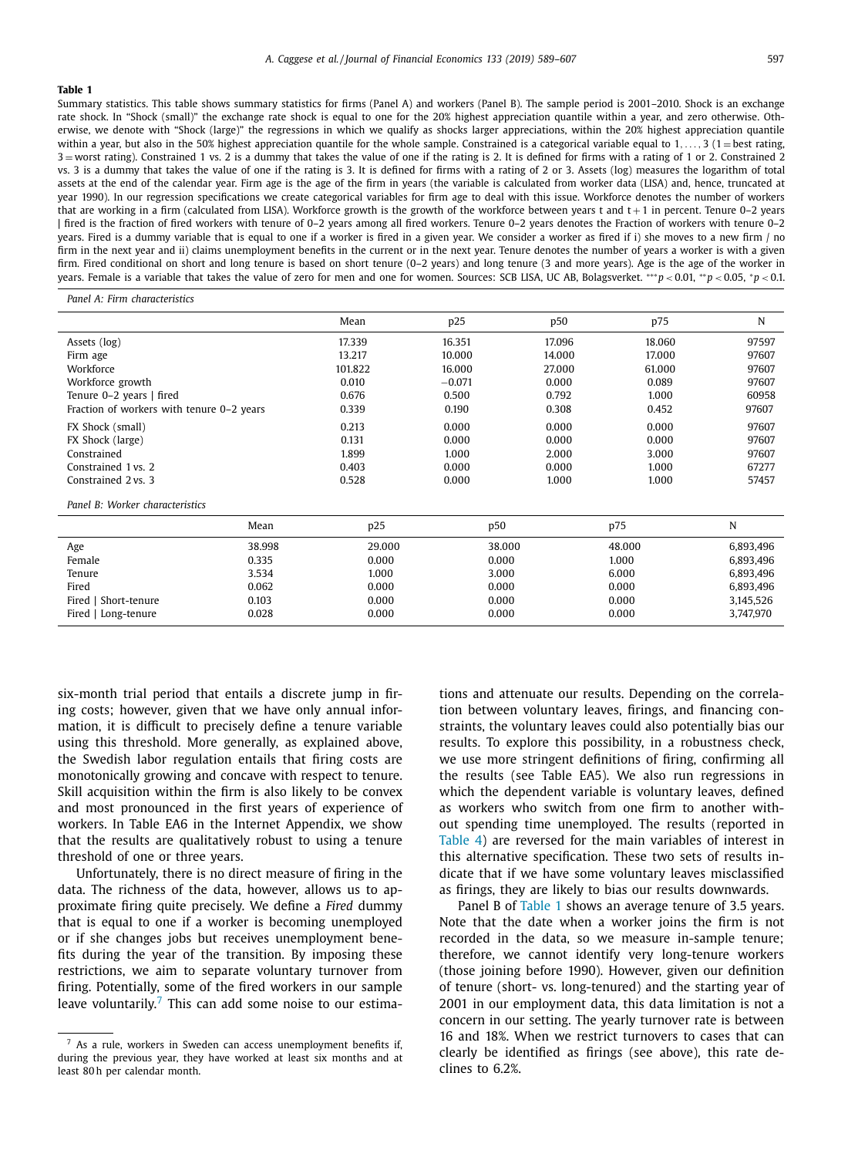<span id="page-8-0"></span>Summary statistics. This table shows summary statistics for firms (Panel A) and workers (Panel B). The sample period is 2001–2010. Shock is an exchange rate shock. In "Shock (small)" the exchange rate shock is equal to one for the 20% highest appreciation quantile within a year, and zero otherwise. Otherwise, we denote with "Shock (large)" the regressions in which we qualify as shocks larger appreciations, within the 20% highest appreciation quantile within a year, but also in the 50% highest appreciation quantile for the whole sample. Constrained is a categorical variable equal to  $1, \ldots, 3$  (1 = best rating, 3 = worst rating). Constrained 1 vs. 2 is a dummy that takes the value of one if the rating is 2. It is defined for firms with a rating of 1 or 2. Constrained 2 vs. 3 is a dummy that takes the value of one if the rating is 3. It is defined for firms with a rating of 2 or 3. Assets (log) measures the logarithm of total assets at the end of the calendar year. Firm age is the age of the firm in years (the variable is calculated from worker data (LISA) and, hence, truncated at year 1990). In our regression specifications we create categorical variables for firm age to deal with this issue. Workforce denotes the number of workers that are working in a firm (calculated from LISA). Workforce growth is the growth of the workforce between years t and  $t + 1$  in percent. Tenure 0-2 years | fired is the fraction of fired workers with tenure of 0–2 years among all fired workers. Tenure 0–2 years denotes the Fraction of workers with tenure 0–2 years. Fired is a dummy variable that is equal to one if a worker is fired in a given year. We consider a worker as fired if i) she moves to a new firm / no firm in the next year and ii) claims unemployment benefits in the current or in the next year. Tenure denotes the number of years a worker is with a given firm. Fired conditional on short and long tenure is based on short tenure (0–2 years) and long tenure (3 and more years). Age is the age of the worker in years. Female is a variable that takes the value of zero for men and one for women. Sources: SCB LISA, UC AB, Bolagsverket. ∗∗∗*p* < 0.01, ∗∗*p* < 0.05, <sup>∗</sup>*p* < 0.1.

*Panel A: Firm characteristics*

|                                           | Mean    | p25      | p50    | p75    | N     |
|-------------------------------------------|---------|----------|--------|--------|-------|
| Assets (log)                              | 17.339  | 16.351   | 17.096 | 18.060 | 97597 |
| Firm age                                  | 13.217  | 10.000   | 14.000 | 17.000 | 97607 |
| Workforce                                 | 101.822 | 16.000   | 27.000 | 61.000 | 97607 |
| Workforce growth                          | 0.010   | $-0.071$ | 0.000  | 0.089  | 97607 |
| Tenure 0-2 years   fired                  | 0.676   | 0.500    | 0.792  | 1.000  | 60958 |
| Fraction of workers with tenure 0-2 years | 0.339   | 0.190    | 0.308  | 0.452  | 97607 |
| FX Shock (small)                          | 0.213   | 0.000    | 0.000  | 0.000  | 97607 |
| FX Shock (large)                          | 0.131   | 0.000    | 0.000  | 0.000  | 97607 |
| Constrained                               | 1.899   | 1.000    | 2.000  | 3.000  | 97607 |
| Constrained 1 vs. 2                       | 0.403   | 0.000    | 0.000  | 1.000  | 67277 |
| Constrained 2 vs. 3                       | 0.528   | 0.000    | 1.000  | 1.000  | 57457 |
| .                                         |         |          |        |        |       |

*Panel B: Worker characteristics*

|                      | Mean   | D <sub>25</sub> | p50    | p75    | N         |
|----------------------|--------|-----------------|--------|--------|-----------|
| Age                  | 38.998 | 29.000          | 38.000 | 48.000 | 6,893,496 |
| Female               | 0.335  | 0.000           | 0.000  | 1.000  | 6.893.496 |
| Tenure               | 3.534  | 1.000           | 3.000  | 6.000  | 6.893.496 |
| Fired                | 0.062  | 0.000           | 0.000  | 0.000  | 6.893.496 |
| Fired   Short-tenure | 0.103  | 0.000           | 0.000  | 0.000  | 3.145.526 |
| Fired   Long-tenure  | 0.028  | 0.000           | 0.000  | 0.000  | 3,747,970 |

six-month trial period that entails a discrete jump in firing costs; however, given that we have only annual information, it is difficult to precisely define a tenure variable using this threshold. More generally, as explained above, the Swedish labor regulation entails that firing costs are monotonically growing and concave with respect to tenure. Skill acquisition within the firm is also likely to be convex and most pronounced in the first years of experience of workers. In Table EA6 in the Internet Appendix, we show that the results are qualitatively robust to using a tenure threshold of one or three years.

Unfortunately, there is no direct measure of firing in the data. The richness of the data, however, allows us to approximate firing quite precisely. We define a *Fired* dummy that is equal to one if a worker is becoming unemployed or if she changes jobs but receives unemployment benefits during the year of the transition. By imposing these restrictions, we aim to separate voluntary turnover from firing. Potentially, some of the fired workers in our sample leave voluntarily. $7$  This can add some noise to our estima-

<sup>7</sup> As a rule, workers in Sweden can access unemployment benefits if, during the previous year, they have worked at least six months and at least 80 h per calendar month.

tions and attenuate our results. Depending on the correlation between voluntary leaves, firings, and financing constraints, the voluntary leaves could also potentially bias our results. To explore this possibility, in a robustness check, we use more stringent definitions of firing, confirming all the results (see Table EA5). We also run regressions in which the dependent variable is voluntary leaves, defined as workers who switch from one firm to another without spending time unemployed. The results (reported in [Table](#page-12-0) 4) are reversed for the main variables of interest in this alternative specification. These two sets of results indicate that if we have some voluntary leaves misclassified as firings, they are likely to bias our results downwards.

Panel B of Table 1 shows an average tenure of 3.5 years. Note that the date when a worker joins the firm is not recorded in the data, so we measure in-sample tenure; therefore, we cannot identify very long-tenure workers (those joining before 1990). However, given our definition of tenure (short- vs. long-tenured) and the starting year of 2001 in our employment data, this data limitation is not a concern in our setting. The yearly turnover rate is between 16 and 18%. When we restrict turnovers to cases that can clearly be identified as firings (see above), this rate declines to 6.2%.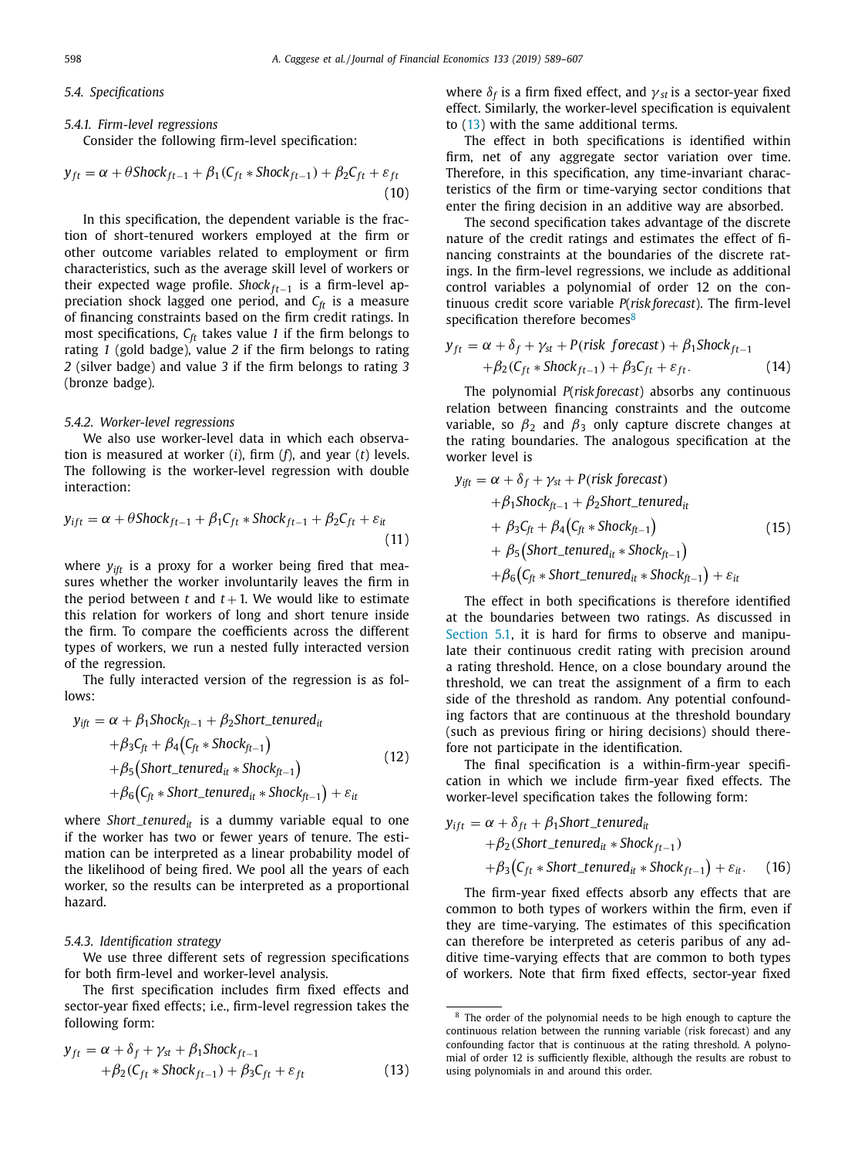## *5.4. Specifications*

#### *5.4.1. Firm-level regressions*

Consider the following firm-level specification:

$$
y_{ft} = \alpha + \theta \text{Shock}_{ft-1} + \beta_1 (C_{ft} * \text{Shock}_{ft-1}) + \beta_2 C_{ft} + \varepsilon_{ft}
$$
\n(10)

In this specification, the dependent variable is the fraction of short-tenured workers employed at the firm or other outcome variables related to employment or firm characteristics, such as the average skill level of workers or their expected wage profile. *Shock*<sub>ft−1</sub> is a firm-level appreciation shock lagged one period, and  $C_{ft}$  is a measure of financing constraints based on the firm credit ratings. In most specifications, *Cft* takes value *1* if the firm belongs to rating *1* (gold badge), value *2* if the firm belongs to rating *2* (silver badge) and value *3* if the firm belongs to rating *3* (bronze badge).

#### *5.4.2. Worker-level regressions*

We also use worker-level data in which each observation is measured at worker (*i*), firm (*f*), and year (*t*) levels. The following is the worker-level regression with double interaction:

$$
y_{ift} = \alpha + \theta \text{Shock}_{ft-1} + \beta_1 C_{ft} * \text{Shock}_{ft-1} + \beta_2 C_{ft} + \varepsilon_{it}
$$
\n(11)

where  $y_{\text{if}t}$  is a proxy for a worker being fired that measures whether the worker involuntarily leaves the firm in the period between  $t$  and  $t + 1$ . We would like to estimate this relation for workers of long and short tenure inside the firm. To compare the coefficients across the different types of workers, we run a nested fully interacted version of the regression.

The fully interacted version of the regression is as follows:

$$
y_{ift} = \alpha + \beta_1 \text{Shock}_{ft-1} + \beta_2 \text{Short\_tenured}_{it}
$$
  
+ $\beta_3 C_{ft} + \beta_4 (C_{ft} * \text{Shock}_{ft-1})$   
+ $\beta_5 (\text{Short\_tenured}_{it} * \text{Shock}_{ft-1})$   
+ $\beta_6 (C_{ft} * \text{Short\_tenured}_{it} * \text{Shock}_{ft-1}) + \varepsilon_{it}$  (12)

where *Short\_tenured*<sub>it</sub> is a dummy variable equal to one if the worker has two or fewer years of tenure. The estimation can be interpreted as a linear probability model of the likelihood of being fired. We pool all the years of each worker, so the results can be interpreted as a proportional hazard.

## *5.4.3. Identification strategy*

We use three different sets of regression specifications for both firm-level and worker-level analysis.

The first specification includes firm fixed effects and sector-year fixed effects; i.e., firm-level regression takes the following form:

$$
y_{ft} = \alpha + \delta_f + \gamma_{st} + \beta_1 \text{Shock}_{ft-1} + \beta_2 (C_{ft} * \text{Shock}_{ft-1}) + \beta_3 C_{ft} + \varepsilon_{ft}
$$
 (13)

where  $\delta_f$  is a firm fixed effect, and  $\gamma_{st}$  is a sector-year fixed effect. Similarly, the worker-level specification is equivalent to (13) with the same additional terms.

The effect in both specifications is identified within firm, net of any aggregate sector variation over time. Therefore, in this specification, any time-invariant characteristics of the firm or time-varying sector conditions that enter the firing decision in an additive way are absorbed.

The second specification takes advantage of the discrete nature of the credit ratings and estimates the effect of financing constraints at the boundaries of the discrete ratings. In the firm-level regressions, we include as additional control variables a polynomial of order 12 on the continuous credit score variable *P*(*risk forecast*). The firm-level specification therefore becomes<sup>8</sup>

$$
y_{ft} = \alpha + \delta_f + \gamma_{st} + P(risk\ forecast) + \beta_1 Shock_{ft-1} + \beta_2(C_{ft} * Shock_{ft-1}) + \beta_3C_{ft} + \varepsilon_{ft}.
$$
 (14)

The polynomial *P*(*risk forecast*) absorbs any continuous relation between financing constraints and the outcome variable, so  $\beta_2$  and  $\beta_3$  only capture discrete changes at the rating boundaries. The analogous specification at the worker level is

$$
y_{ift} = \alpha + \delta_f + \gamma_{st} + P(risk\ for\ each)
$$
  
+  $\beta_1$ Shock<sub>ft-1</sub> +  $\beta_2$ Short\_tenured<sub>it</sub>  
+  $\beta_3 C_{ft} + \beta_4 (C_{ft} * \text{Shock}_{ft-1})$  (15)  
+  $\beta_5 (\text{Short_tenured}_{it} * \text{Shock}_{ft-1})$   
+  $\beta_6 (C_{ft} * \text{Short_tenured}_{it} * \text{Shock}_{ft-1}) + \varepsilon_{it}$ 

The effect in both specifications is therefore identified at the boundaries between two ratings. As discussed in [Section](#page-6-0) 5.1, it is hard for firms to observe and manipulate their continuous credit rating with precision around a rating threshold. Hence, on a close boundary around the threshold, we can treat the assignment of a firm to each side of the threshold as random. Any potential confounding factors that are continuous at the threshold boundary (such as previous firing or hiring decisions) should therefore not participate in the identification.

The final specification is a within-firm-year specification in which we include firm-year fixed effects. The worker-level specification takes the following form:

$$
y_{ift} = \alpha + \delta_{ft} + \beta_1 \text{Short\_tenured}_{it}
$$
  
+  $\beta_2$  (Short\\_tenured<sub>it</sub> \* Shock<sub>ft-1</sub>)  
+  $\beta_3$  ( $C_{ft}$  \* Short\_tenured<sub>it</sub> \* Shock<sub>ft-1</sub>) +  $\varepsilon_{it}$ . (16)

The firm-year fixed effects absorb any effects that are common to both types of workers within the firm, even if they are time-varying. The estimates of this specification can therefore be interpreted as ceteris paribus of any additive time-varying effects that are common to both types of workers. Note that firm fixed effects, sector-year fixed

<sup>&</sup>lt;sup>8</sup> The order of the polynomial needs to be high enough to capture the continuous relation between the running variable (risk forecast) and any confounding factor that is continuous at the rating threshold. A polynomial of order 12 is sufficiently flexible, although the results are robust to using polynomials in and around this order.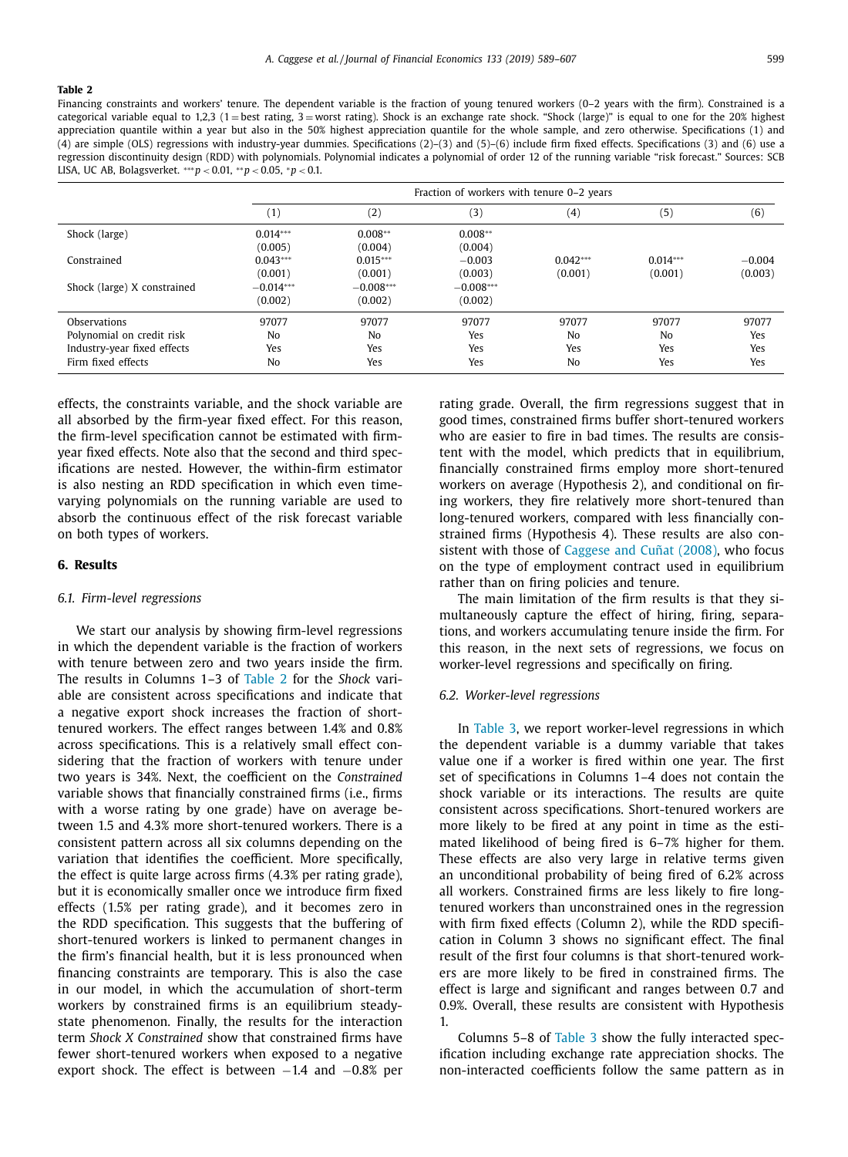<span id="page-10-0"></span>Financing constraints and workers' tenure. The dependent variable is the fraction of young tenured workers (0-2 years with the firm). Constrained is a categorical variable equal to 1,2,3 (1 = best rating, 3 = worst rating). Shock is an exchange rate shock. "Shock (large)" is equal to one for the 20% highest appreciation quantile within a year but also in the 50% highest appreciation quantile for the whole sample, and zero otherwise. Specifications (1) and (4) are simple (OLS) regressions with industry-year dummies. Specifications (2)–(3) and (5)–(6) include firm fixed effects. Specifications (3) and (6) use a regression discontinuity design (RDD) with polynomials. Polynomial indicates a polynomial of order 12 of the running variable "risk forecast." Sources: SCB LISA, UC AB, Bolagsverket. ∗∗∗*p* < 0.01, ∗∗*p* < 0.05, <sup>∗</sup>*p* < 0.1.

|                             |                  | Fraction of workers with tenure 0–2 years |             |            |            |          |  |  |
|-----------------------------|------------------|-------------------------------------------|-------------|------------|------------|----------|--|--|
|                             | $\left(1\right)$ | (2)                                       | (3)         | (4)        | (5)        | (6)      |  |  |
| Shock (large)               | $0.014***$       | $0.008**$                                 | $0.008**$   |            |            |          |  |  |
|                             | (0.005)          | (0.004)                                   | (0.004)     |            |            |          |  |  |
| Constrained                 | $0.043***$       | $0.015***$                                | $-0.003$    | $0.042***$ | $0.014***$ | $-0.004$ |  |  |
|                             | (0.001)          | (0.001)                                   | (0.003)     | (0.001)    | (0.001)    | (0.003)  |  |  |
| Shock (large) X constrained | $-0.014***$      | $-0.008***$                               | $-0.008***$ |            |            |          |  |  |
|                             | (0.002)          | (0.002)                                   | (0.002)     |            |            |          |  |  |
| Observations                | 97077            | 97077                                     | 97077       | 97077      | 97077      | 97077    |  |  |
| Polynomial on credit risk   | No               | No                                        | Yes         | No         | No         | Yes      |  |  |
| Industry-year fixed effects | Yes              | Yes                                       | Yes         | Yes        | Yes        | Yes      |  |  |
| Firm fixed effects          | No               | Yes                                       | Yes         | No         | Yes        | Yes      |  |  |

effects, the constraints variable, and the shock variable are all absorbed by the firm-year fixed effect. For this reason, the firm-level specification cannot be estimated with firmyear fixed effects. Note also that the second and third specifications are nested. However, the within-firm estimator is also nesting an RDD specification in which even timevarying polynomials on the running variable are used to absorb the continuous effect of the risk forecast variable on both types of workers.

#### **6. Results**

#### *6.1. Firm-level regressions*

We start our analysis by showing firm-level regressions in which the dependent variable is the fraction of workers with tenure between zero and two years inside the firm. The results in Columns 1–3 of Table 2 for the *Shock* variable are consistent across specifications and indicate that a negative export shock increases the fraction of shorttenured workers. The effect ranges between 1.4% and 0.8% across specifications. This is a relatively small effect considering that the fraction of workers with tenure under two years is 34%. Next, the coefficient on the *Constrained* variable shows that financially constrained firms (i.e., firms with a worse rating by one grade) have on average between 1.5 and 4.3% more short-tenured workers. There is a consistent pattern across all six columns depending on the variation that identifies the coefficient. More specifically, the effect is quite large across firms (4.3% per rating grade), but it is economically smaller once we introduce firm fixed effects (1.5% per rating grade), and it becomes zero in the RDD specification. This suggests that the buffering of short-tenured workers is linked to permanent changes in the firm's financial health, but it is less pronounced when financing constraints are temporary. This is also the case in our model, in which the accumulation of short-term workers by constrained firms is an equilibrium steadystate phenomenon. Finally, the results for the interaction term *Shock X Constrained* show that constrained firms have fewer short-tenured workers when exposed to a negative export shock. The effect is between  $-1.4$  and  $-0.8\%$  per

rating grade. Overall, the firm regressions suggest that in good times, constrained firms buffer short-tenured workers who are easier to fire in bad times. The results are consistent with the model, which predicts that in equilibrium, financially constrained firms employ more short-tenured workers on average (Hypothesis 2), and conditional on firing workers, they fire relatively more short-tenured than long-tenured workers, compared with less financially constrained firms (Hypothesis 4). These results are also consistent with those of [Caggese](#page-18-0) and Cuñat (2008), who focus on the type of employment contract used in equilibrium rather than on firing policies and tenure.

The main limitation of the firm results is that they simultaneously capture the effect of hiring, firing, separations, and workers accumulating tenure inside the firm. For this reason, in the next sets of regressions, we focus on worker-level regressions and specifically on firing.

#### *6.2. Worker-level regressions*

In [Table](#page-11-0) 3, we report worker-level regressions in which the dependent variable is a dummy variable that takes value one if a worker is fired within one year. The first set of specifications in Columns 1–4 does not contain the shock variable or its interactions. The results are quite consistent across specifications. Short-tenured workers are more likely to be fired at any point in time as the estimated likelihood of being fired is 6–7% higher for them. These effects are also very large in relative terms given an unconditional probability of being fired of 6.2% across all workers. Constrained firms are less likely to fire longtenured workers than unconstrained ones in the regression with firm fixed effects (Column 2), while the RDD specification in Column 3 shows no significant effect. The final result of the first four columns is that short-tenured workers are more likely to be fired in constrained firms. The effect is large and significant and ranges between 0.7 and 0.9%. Overall, these results are consistent with Hypothesis 1.

Columns 5–8 of [Table](#page-11-0) 3 show the fully interacted specification including exchange rate appreciation shocks. The non-interacted coefficients follow the same pattern as in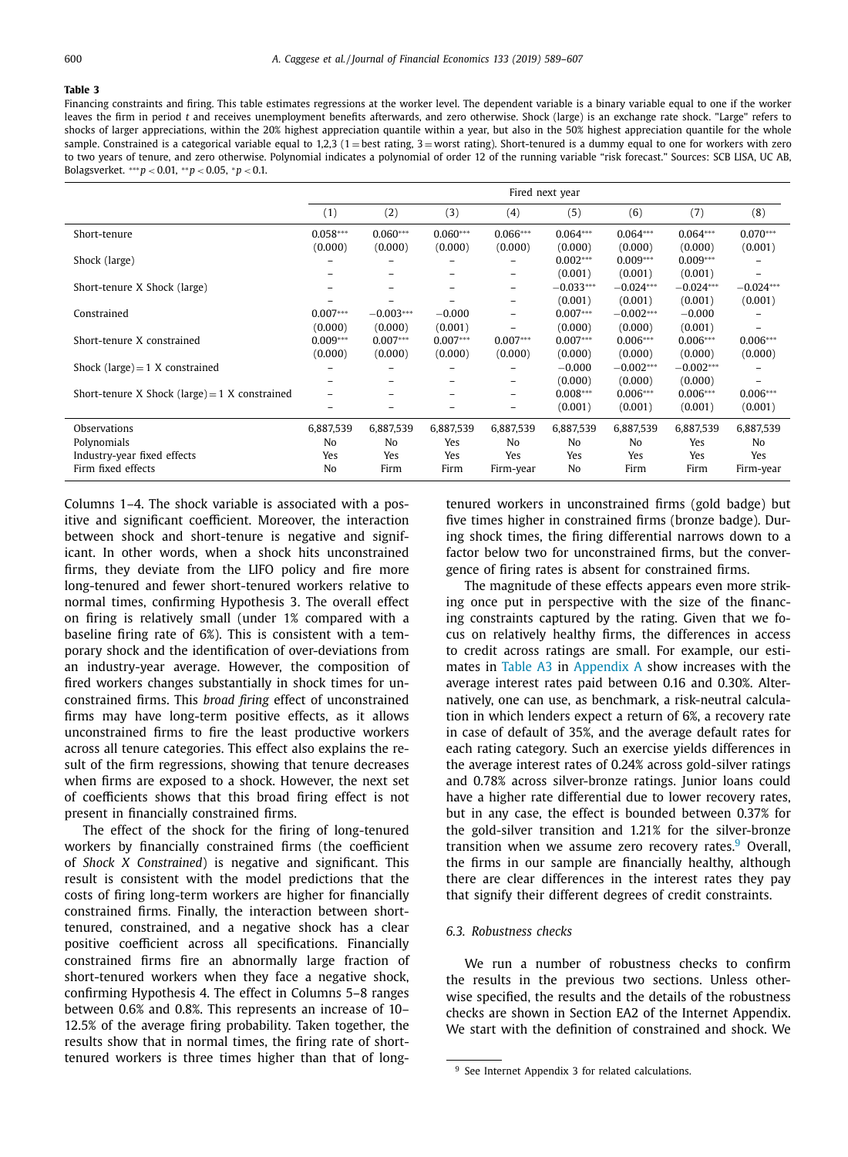<span id="page-11-0"></span>Financing constraints and firing. This table estimates regressions at the worker level. The dependent variable is a binary variable equal to one if the worker leaves the firm in period *t* and receives unemployment benefits afterwards, and zero otherwise. Shock (large) is an exchange rate shock. "Large" refers to shocks of larger appreciations, within the 20% highest appreciation quantile within a year, but also in the 50% highest appreciation quantile for the whole sample. Constrained is a categorical variable equal to 1,2,3 (1 = best rating, 3 = worst rating). Short-tenured is a dummy equal to one for workers with zero to two years of tenure, and zero otherwise. Polynomial indicates a polynomial of order 12 of the running variable "risk forecast." Sources: SCB LISA, UC AB, Bolagsverket. ∗∗∗*p* < 0.01, ∗∗*p* < 0.05, <sup>∗</sup>*p* < 0.1.

|                                                  | Fired next year          |                |            |                          |             |                |             |                          |
|--------------------------------------------------|--------------------------|----------------|------------|--------------------------|-------------|----------------|-------------|--------------------------|
|                                                  | (1)                      | (2)            | (3)        | (4)                      | (5)         | (6)            | (7)         | (8)                      |
| Short-tenure                                     | $0.058***$               | $0.060***$     | $0.060***$ | $0.066***$               | $0.064***$  | $0.064***$     | $0.064***$  | $0.070***$               |
|                                                  | (0.000)                  | (0.000)        | (0.000)    | (0.000)                  | (0.000)     | (0.000)        | (0.000)     | (0.001)                  |
| Shock (large)                                    |                          |                |            |                          | $0.002***$  | $0.009***$     | $0.009***$  |                          |
|                                                  |                          | -              |            | $\equiv$                 | (0.001)     | (0.001)        | (0.001)     | $\overline{\phantom{0}}$ |
| Short-tenure X Shock (large)                     |                          |                |            | Ξ.                       | $-0.033***$ | $-0.024***$    | $-0.024***$ | $-0.024***$              |
|                                                  |                          |                |            | $\equiv$                 | (0.001)     | (0.001)        | (0.001)     | (0.001)                  |
| Constrained                                      | $0.007***$               | $-0.003***$    | $-0.000$   | Ξ.                       | $0.007***$  | $-0.002***$    | $-0.000$    |                          |
|                                                  | (0.000)                  | (0.000)        | (0.001)    |                          | (0.000)     | (0.000)        | (0.001)     | $\overline{\phantom{0}}$ |
| Short-tenure X constrained                       | $0.009***$               | $0.007***$     | $0.007***$ | $0.007***$               | $0.007***$  | $0.006***$     | $0.006***$  | $0.006***$               |
|                                                  | (0.000)                  | (0.000)        | (0.000)    | (0.000)                  | (0.000)     | (0.000)        | (0.000)     | (0.000)                  |
| Shock (large) $=$ 1 X constrained                |                          |                |            |                          | $-0.000$    | $-0.002***$    | $-0.002***$ |                          |
|                                                  |                          |                |            | $\overline{\phantom{0}}$ | (0.000)     | (0.000)        | (0.000)     |                          |
| Short-tenure X Shock (large) = $1$ X constrained | $\overline{\phantom{0}}$ | -              |            | $\equiv$                 | $0.008***$  | $0.006***$     | $0.006***$  | $0.006***$               |
|                                                  | -                        | -              |            | $\equiv$                 | (0.001)     | (0.001)        | (0.001)     | (0.001)                  |
| Observations                                     | 6,887,539                | 6,887,539      | 6,887,539  | 6,887,539                | 6,887,539   | 6,887,539      | 6,887,539   | 6,887,539                |
| Polynomials                                      | No                       | N <sub>o</sub> | Yes        | No                       | No          | N <sub>0</sub> | Yes         | N <sub>0</sub>           |
| Industry-year fixed effects                      | Yes                      | Yes            | Yes        | Yes                      | Yes         | Yes            | Yes         | Yes                      |
| Firm fixed effects                               | No                       | Firm           | Firm       | Firm-year                | No          | Firm           | Firm        | Firm-year                |

Columns 1–4. The shock variable is associated with a positive and significant coefficient. Moreover, the interaction between shock and short-tenure is negative and significant. In other words, when a shock hits unconstrained firms, they deviate from the LIFO policy and fire more long-tenured and fewer short-tenured workers relative to normal times, confirming Hypothesis 3. The overall effect on firing is relatively small (under 1% compared with a baseline firing rate of 6%). This is consistent with a temporary shock and the identification of over-deviations from an industry-year average. However, the composition of fired workers changes substantially in shock times for unconstrained firms. This *broad firing* effect of unconstrained firms may have long-term positive effects, as it allows unconstrained firms to fire the least productive workers across all tenure categories. This effect also explains the result of the firm regressions, showing that tenure decreases when firms are exposed to a shock. However, the next set of coefficients shows that this broad firing effect is not present in financially constrained firms.

The effect of the shock for the firing of long-tenured workers by financially constrained firms (the coefficient of *Shock X Constrained*) is negative and significant. This result is consistent with the model predictions that the costs of firing long-term workers are higher for financially constrained firms. Finally, the interaction between shorttenured, constrained, and a negative shock has a clear positive coefficient across all specifications. Financially constrained firms fire an abnormally large fraction of short-tenured workers when they face a negative shock, confirming Hypothesis 4. The effect in Columns 5–8 ranges between 0.6% and 0.8%. This represents an increase of 10– 12.5% of the average firing probability. Taken together, the results show that in normal times, the firing rate of shorttenured workers is three times higher than that of longtenured workers in unconstrained firms (gold badge) but five times higher in constrained firms (bronze badge). During shock times, the firing differential narrows down to a factor below two for unconstrained firms, but the convergence of firing rates is absent for constrained firms.

The magnitude of these effects appears even more striking once put in perspective with the size of the financing constraints captured by the rating. Given that we focus on relatively healthy firms, the differences in access to credit across ratings are small. For example, our estimates in [Table](#page-17-0) A3 in [Appendix](#page-16-0) A show increases with the average interest rates paid between 0.16 and 0.30%. Alternatively, one can use, as benchmark, a risk-neutral calculation in which lenders expect a return of 6%, a recovery rate in case of default of 35%, and the average default rates for each rating category. Such an exercise yields differences in the average interest rates of 0.24% across gold-silver ratings and 0.78% across silver-bronze ratings. Junior loans could have a higher rate differential due to lower recovery rates, but in any case, the effect is bounded between 0.37% for the gold-silver transition and 1.21% for the silver-bronze transition when we assume zero recovery rates. $9$  Overall, the firms in our sample are financially healthy, although there are clear differences in the interest rates they pay that signify their different degrees of credit constraints.

# *6.3. Robustness checks*

We run a number of robustness checks to confirm the results in the previous two sections. Unless otherwise specified, the results and the details of the robustness checks are shown in Section EA2 of the Internet Appendix. We start with the definition of constrained and shock. We

<sup>9</sup> See Internet Appendix 3 for related calculations.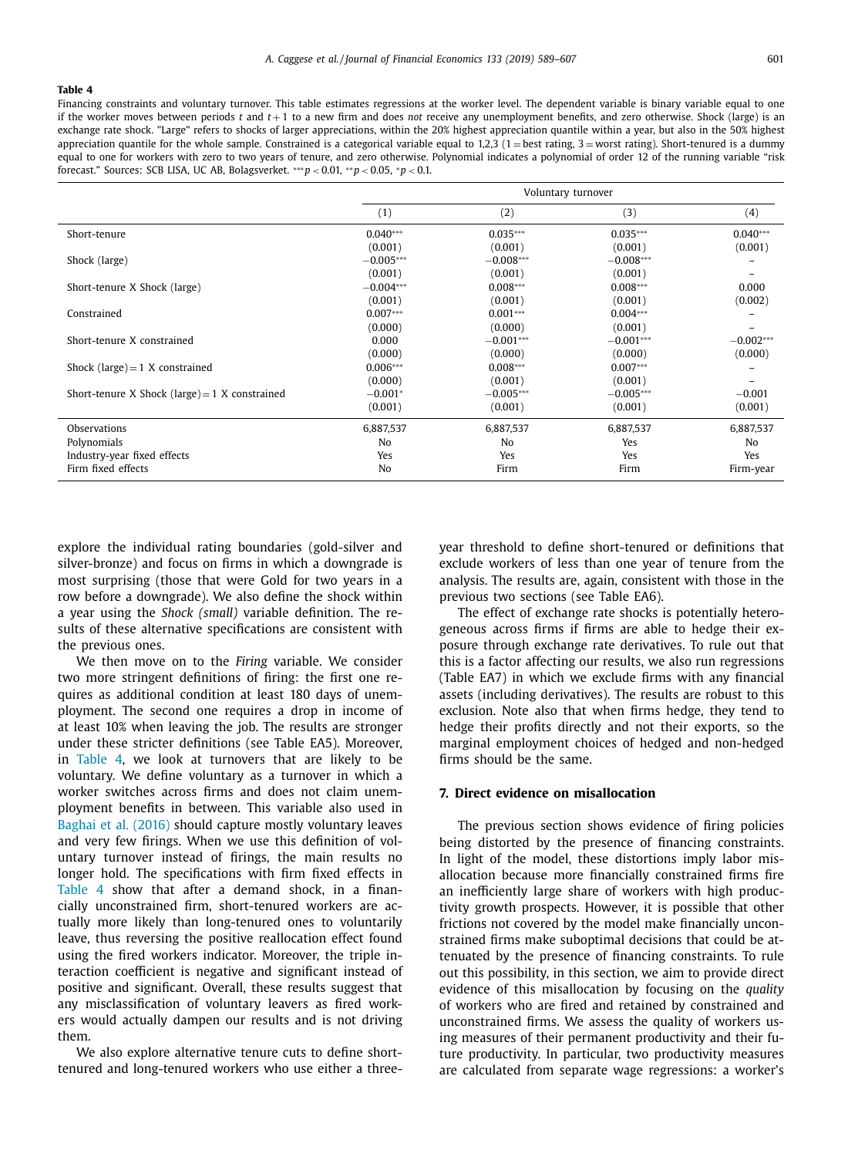<span id="page-12-0"></span>Financing constraints and voluntary turnover. This table estimates regressions at the worker level. The dependent variable is binary variable equal to one if the worker moves between periods  $t$  and  $t+1$  to a new firm and does *not* receive any unemployment benefits, and zero otherwise. Shock (large) is an exchange rate shock. "Large" refers to shocks of larger appreciations, within the 20% highest appreciation quantile within a year, but also in the 50% highest appreciation quantile for the whole sample. Constrained is a categorical variable equal to 1,2,3 (1 = best rating, 3 = worst rating). Short-tenured is a dummy equal to one for workers with zero to two years of tenure, and zero otherwise. Polynomial indicates a polynomial of order 12 of the running variable "risk forecast." Sources: SCB LISA, UC AB, Bolagsverket. ∗∗∗*p* < 0.01, ∗∗*p* < 0.05, <sup>∗</sup>*p* < 0.1.

|                                                  | Voluntary turnover |             |             |             |  |  |
|--------------------------------------------------|--------------------|-------------|-------------|-------------|--|--|
|                                                  | (1)                | (2)         | (3)         | (4)         |  |  |
| Short-tenure                                     | $0.040***$         | $0.035***$  | $0.035***$  | $0.040***$  |  |  |
|                                                  | (0.001)            | (0.001)     | (0.001)     | (0.001)     |  |  |
| Shock (large)                                    | $-0.005***$        | $-0.008***$ | $-0.008***$ |             |  |  |
|                                                  | (0.001)            | (0.001)     | (0.001)     | -           |  |  |
| Short-tenure X Shock (large)                     | $-0.004***$        | $0.008***$  | $0.008***$  | 0.000       |  |  |
|                                                  | (0.001)            | (0.001)     | (0.001)     | (0.002)     |  |  |
| Constrained                                      | $0.007***$         | $0.001***$  | $0.004***$  |             |  |  |
|                                                  | (0.000)            | (0.000)     | (0.001)     |             |  |  |
| Short-tenure X constrained                       | 0.000              | $-0.001***$ | $-0.001***$ | $-0.002***$ |  |  |
|                                                  | (0.000)            | (0.000)     | (0.000)     | (0.000)     |  |  |
| Shock (large) $= 1$ X constrained                | $0.006***$         | $0.008***$  | $0.007***$  |             |  |  |
|                                                  | (0.000)            | (0.001)     | (0.001)     |             |  |  |
| Short-tenure X Shock (large) = $1$ X constrained | $-0.001*$          | $-0.005***$ | $-0.005***$ | $-0.001$    |  |  |
|                                                  | (0.001)            | (0.001)     | (0.001)     | (0.001)     |  |  |
| Observations                                     | 6,887,537          | 6,887,537   | 6,887,537   | 6,887,537   |  |  |
| Polynomials                                      | N <sub>0</sub>     | No          | Yes         | No          |  |  |
| Industry-year fixed effects                      | Yes                | Yes         | Yes         | Yes         |  |  |
| Firm fixed effects                               | No                 | Firm        | Firm        | Firm-year   |  |  |

explore the individual rating boundaries (gold-silver and silver-bronze) and focus on firms in which a downgrade is most surprising (those that were Gold for two years in a row before a downgrade). We also define the shock within a year using the *Shock (small)* variable definition. The results of these alternative specifications are consistent with the previous ones.

We then move on to the *Firing* variable. We consider two more stringent definitions of firing: the first one requires as additional condition at least 180 days of unemployment. The second one requires a drop in income of at least 10% when leaving the job. The results are stronger under these stricter definitions (see Table EA5). Moreover, in Table 4, we look at turnovers that are likely to be voluntary. We define voluntary as a turnover in which a worker switches across firms and does not claim unemployment benefits in between. This variable also used in [Baghai](#page-18-0) et al. (2016) should capture mostly voluntary leaves and very few firings. When we use this definition of voluntary turnover instead of firings, the main results no longer hold. The specifications with firm fixed effects in Table 4 show that after a demand shock, in a financially unconstrained firm, short-tenured workers are actually more likely than long-tenured ones to voluntarily leave, thus reversing the positive reallocation effect found using the fired workers indicator. Moreover, the triple interaction coefficient is negative and significant instead of positive and significant. Overall, these results suggest that any misclassification of voluntary leavers as fired workers would actually dampen our results and is not driving them.

We also explore alternative tenure cuts to define shorttenured and long-tenured workers who use either a threeyear threshold to define short-tenured or definitions that exclude workers of less than one year of tenure from the analysis. The results are, again, consistent with those in the previous two sections (see Table EA6).

The effect of exchange rate shocks is potentially heterogeneous across firms if firms are able to hedge their exposure through exchange rate derivatives. To rule out that this is a factor affecting our results, we also run regressions (Table EA7) in which we exclude firms with any financial assets (including derivatives). The results are robust to this exclusion. Note also that when firms hedge, they tend to hedge their profits directly and not their exports, so the marginal employment choices of hedged and non-hedged firms should be the same.

#### **7. Direct evidence on misallocation**

The previous section shows evidence of firing policies being distorted by the presence of financing constraints. In light of the model, these distortions imply labor misallocation because more financially constrained firms fire an inefficiently large share of workers with high productivity growth prospects. However, it is possible that other frictions not covered by the model make financially unconstrained firms make suboptimal decisions that could be attenuated by the presence of financing constraints. To rule out this possibility, in this section, we aim to provide direct evidence of this misallocation by focusing on the *quality* of workers who are fired and retained by constrained and unconstrained firms. We assess the quality of workers using measures of their permanent productivity and their future productivity. In particular, two productivity measures are calculated from separate wage regressions: a worker's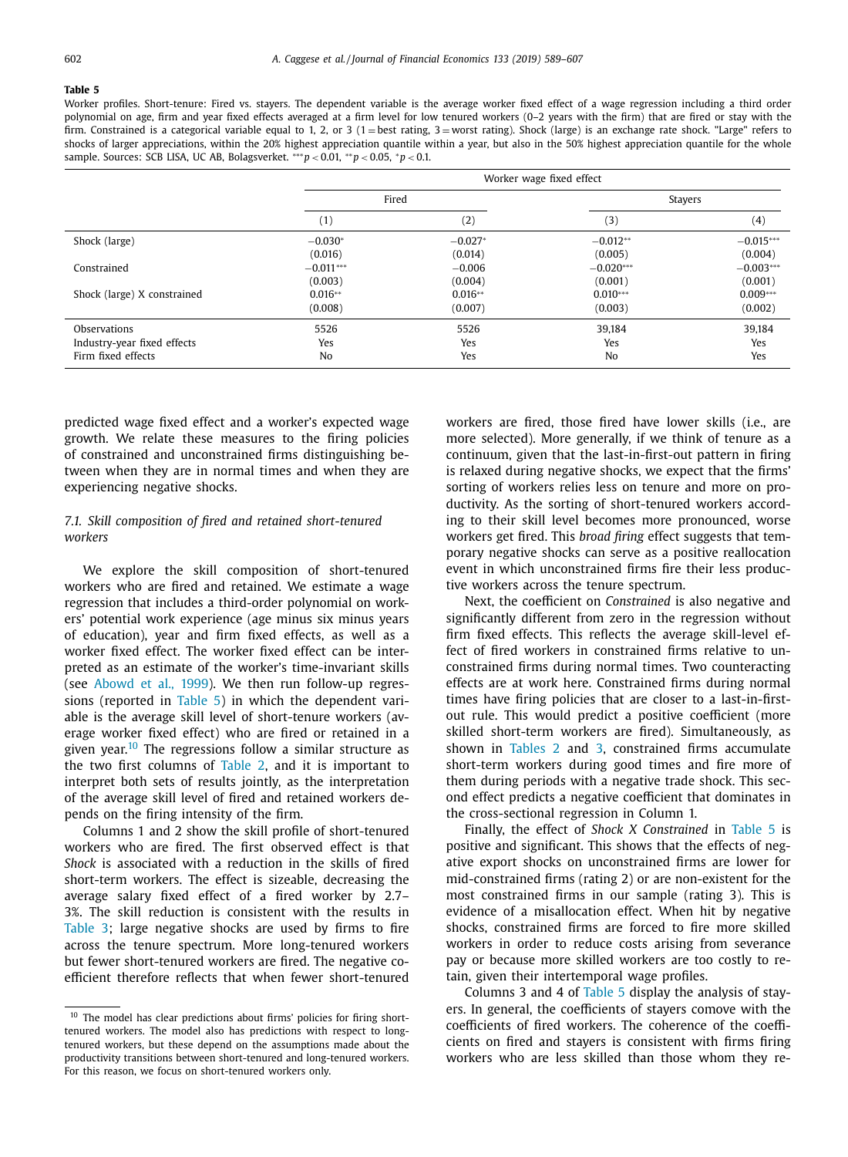<span id="page-13-0"></span>Worker profiles. Short-tenure: Fired vs. stayers. The dependent variable is the average worker fixed effect of a wage regression including a third order polynomial on age, firm and year fixed effects averaged at a firm level for low tenured workers (0–2 years with the firm) that are fired or stay with the firm. Constrained is a categorical variable equal to 1, 2, or 3 (1 = best rating, 3 = worst rating). Shock (large) is an exchange rate shock. "Large" refers to shocks of larger appreciations, within the 20% highest appreciation quantile within a year, but also in the 50% highest appreciation quantile for the whole sample. Sources: SCB LISA, UC AB, Bolagsverket. ∗∗∗*p* < 0.01, ∗∗*p* < 0.05, <sup>∗</sup>*p* < 0.1.

|                             | Worker wage fixed effect |           |             |             |  |  |
|-----------------------------|--------------------------|-----------|-------------|-------------|--|--|
|                             | Fired                    |           |             | Stayers     |  |  |
|                             | (1)                      | (2)       | (3)         | (4)         |  |  |
| Shock (large)               | $-0.030*$                | $-0.027*$ | $-0.012**$  | $-0.015***$ |  |  |
|                             | (0.016)                  | (0.014)   | (0.005)     | (0.004)     |  |  |
| Constrained                 | $-0.011***$              | $-0.006$  | $-0.020***$ | $-0.003***$ |  |  |
|                             | (0.003)                  | (0.004)   | (0.001)     | (0.001)     |  |  |
| Shock (large) X constrained | $0.016**$                | $0.016**$ | $0.010***$  | $0.009***$  |  |  |
|                             | (0.008)                  | (0.007)   | (0.003)     | (0.002)     |  |  |
| Observations                | 5526                     | 5526      | 39,184      | 39,184      |  |  |
| Industry-year fixed effects | Yes                      | Yes       | Yes         | Yes         |  |  |
| Firm fixed effects          | No                       | Yes       | No          | Yes         |  |  |

predicted wage fixed effect and a worker's expected wage growth. We relate these measures to the firing policies of constrained and unconstrained firms distinguishing between when they are in normal times and when they are experiencing negative shocks.

# *7.1. Skill composition of fired and retained short-tenured workers*

We explore the skill composition of short-tenured workers who are fired and retained. We estimate a wage regression that includes a third-order polynomial on workers' potential work experience (age minus six minus years of education), year and firm fixed effects, as well as a worker fixed effect. The worker fixed effect can be interpreted as an estimate of the worker's time-invariant skills (see [Abowd](#page-18-0) et al., 1999). We then run follow-up regressions (reported in Table 5) in which the dependent variable is the average skill level of short-tenure workers (average worker fixed effect) who are fired or retained in a given year.<sup>10</sup> The regressions follow a similar structure as the two first columns of [Table](#page-10-0) 2, and it is important to interpret both sets of results jointly, as the interpretation of the average skill level of fired and retained workers depends on the firing intensity of the firm.

Columns 1 and 2 show the skill profile of short-tenured workers who are fired. The first observed effect is that *Shock* is associated with a reduction in the skills of fired short-term workers. The effect is sizeable, decreasing the average salary fixed effect of a fired worker by 2.7– 3%. The skill reduction is consistent with the results in [Table](#page-11-0) 3; large negative shocks are used by firms to fire across the tenure spectrum. More long-tenured workers but fewer short-tenured workers are fired. The negative coefficient therefore reflects that when fewer short-tenured workers are fired, those fired have lower skills (i.e., are more selected). More generally, if we think of tenure as a continuum, given that the last-in-first-out pattern in firing is relaxed during negative shocks, we expect that the firms' sorting of workers relies less on tenure and more on productivity. As the sorting of short-tenured workers according to their skill level becomes more pronounced, worse workers get fired. This *broad firing* effect suggests that temporary negative shocks can serve as a positive reallocation event in which unconstrained firms fire their less productive workers across the tenure spectrum.

Next, the coefficient on *Constrained* is also negative and significantly different from zero in the regression without firm fixed effects. This reflects the average skill-level effect of fired workers in constrained firms relative to unconstrained firms during normal times. Two counteracting effects are at work here. Constrained firms during normal times have firing policies that are closer to a last-in-firstout rule. This would predict a positive coefficient (more skilled short-term workers are fired). Simultaneously, as shown in [Tables](#page-10-0) 2 and [3,](#page-11-0) constrained firms accumulate short-term workers during good times and fire more of them during periods with a negative trade shock. This second effect predicts a negative coefficient that dominates in the cross-sectional regression in Column 1.

Finally, the effect of *Shock X Constrained* in Table 5 is positive and significant. This shows that the effects of negative export shocks on unconstrained firms are lower for mid-constrained firms (rating 2) or are non-existent for the most constrained firms in our sample (rating 3). This is evidence of a misallocation effect. When hit by negative shocks, constrained firms are forced to fire more skilled workers in order to reduce costs arising from severance pay or because more skilled workers are too costly to retain, given their intertemporal wage profiles.

Columns 3 and 4 of Table 5 display the analysis of stayers. In general, the coefficients of stayers comove with the coefficients of fired workers. The coherence of the coefficients on fired and stayers is consistent with firms firing workers who are less skilled than those whom they re-

<sup>&</sup>lt;sup>10</sup> The model has clear predictions about firms' policies for firing shorttenured workers. The model also has predictions with respect to longtenured workers, but these depend on the assumptions made about the productivity transitions between short-tenured and long-tenured workers. For this reason, we focus on short-tenured workers only.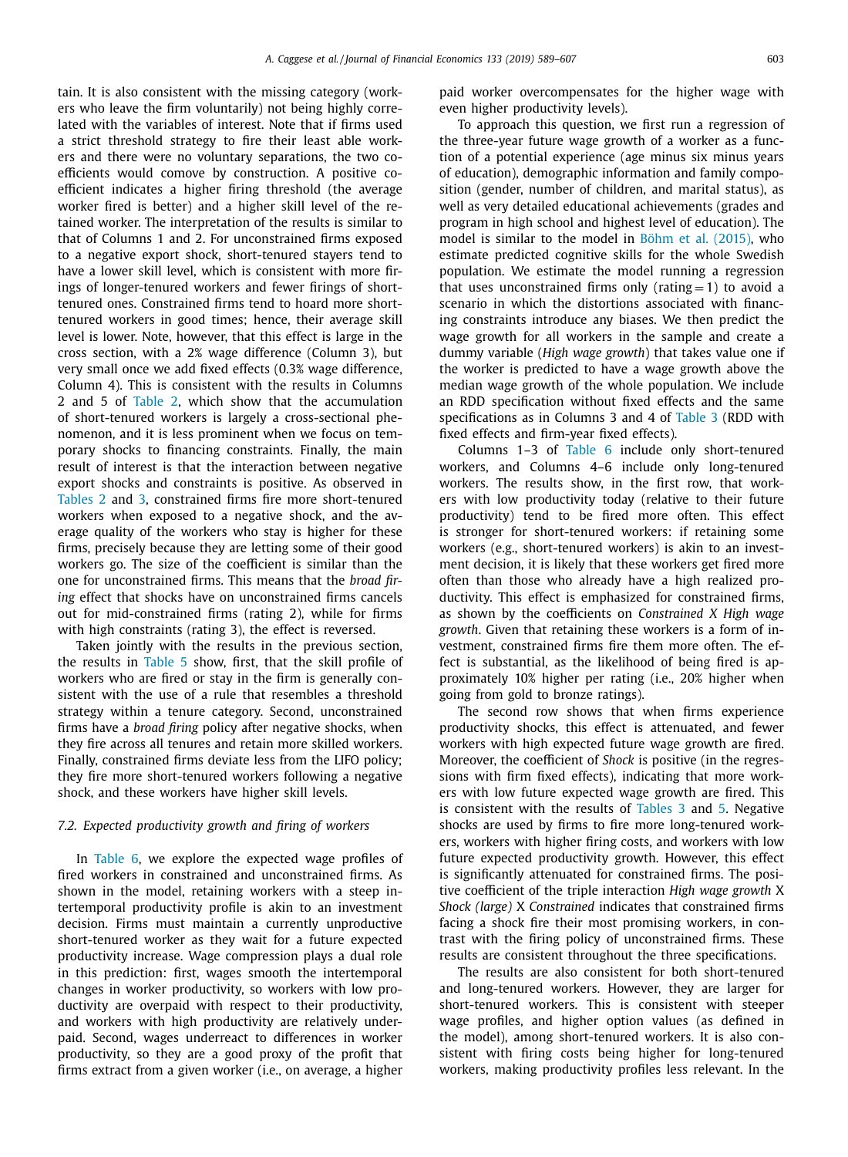tain. It is also consistent with the missing category (workers who leave the firm voluntarily) not being highly correlated with the variables of interest. Note that if firms used a strict threshold strategy to fire their least able workers and there were no voluntary separations, the two coefficients would comove by construction. A positive coefficient indicates a higher firing threshold (the average worker fired is better) and a higher skill level of the retained worker. The interpretation of the results is similar to that of Columns 1 and 2. For unconstrained firms exposed to a negative export shock, short-tenured stayers tend to have a lower skill level, which is consistent with more firings of longer-tenured workers and fewer firings of shorttenured ones. Constrained firms tend to hoard more shorttenured workers in good times; hence, their average skill level is lower. Note, however, that this effect is large in the cross section, with a 2% wage difference (Column 3), but very small once we add fixed effects (0.3% wage difference, Column 4). This is consistent with the results in Columns 2 and 5 of [Table](#page-10-0) 2, which show that the accumulation of short-tenured workers is largely a cross-sectional phenomenon, and it is less prominent when we focus on temporary shocks to financing constraints. Finally, the main result of interest is that the interaction between negative export shocks and constraints is positive. As observed in [Tables](#page-10-0) 2 and [3,](#page-11-0) constrained firms fire more short-tenured workers when exposed to a negative shock, and the average quality of the workers who stay is higher for these firms, precisely because they are letting some of their good workers go. The size of the coefficient is similar than the one for unconstrained firms. This means that the *broad firing* effect that shocks have on unconstrained firms cancels out for mid-constrained firms (rating 2), while for firms with high constraints (rating 3), the effect is reversed.

Taken jointly with the results in the previous section, the results in [Table](#page-13-0) 5 show, first, that the skill profile of workers who are fired or stay in the firm is generally consistent with the use of a rule that resembles a threshold strategy within a tenure category. Second, unconstrained firms have a *broad firing* policy after negative shocks, when they fire across all tenures and retain more skilled workers. Finally, constrained firms deviate less from the LIFO policy; they fire more short-tenured workers following a negative shock, and these workers have higher skill levels.

# *7.2. Expected productivity growth and firing of workers*

In [Table](#page-15-0) 6, we explore the expected wage profiles of fired workers in constrained and unconstrained firms. As shown in the model, retaining workers with a steep intertemporal productivity profile is akin to an investment decision. Firms must maintain a currently unproductive short-tenured worker as they wait for a future expected productivity increase. Wage compression plays a dual role in this prediction: first, wages smooth the intertemporal changes in worker productivity, so workers with low productivity are overpaid with respect to their productivity, and workers with high productivity are relatively underpaid. Second, wages underreact to differences in worker productivity, so they are a good proxy of the profit that firms extract from a given worker (i.e., on average, a higher

paid worker overcompensates for the higher wage with even higher productivity levels).

To approach this question, we first run a regression of the three-year future wage growth of a worker as a function of a potential experience (age minus six minus years of education), demographic information and family composition (gender, number of children, and marital status), as well as very detailed educational achievements (grades and program in high school and highest level of education). The model is similar to the model in Böhm et al. [\(2015\),](#page-18-0) who estimate predicted cognitive skills for the whole Swedish population. We estimate the model running a regression that uses unconstrained firms only (rating  $= 1$ ) to avoid a scenario in which the distortions associated with financing constraints introduce any biases. We then predict the wage growth for all workers in the sample and create a dummy variable (*High wage growth*) that takes value one if the worker is predicted to have a wage growth above the median wage growth of the whole population. We include an RDD specification without fixed effects and the same specifications as in Columns 3 and 4 of [Table](#page-11-0) 3 (RDD with fixed effects and firm-year fixed effects).

Columns 1–3 of [Table](#page-15-0) 6 include only short-tenured workers, and Columns 4–6 include only long-tenured workers. The results show, in the first row, that workers with low productivity today (relative to their future productivity) tend to be fired more often. This effect is stronger for short-tenured workers: if retaining some workers (e.g., short-tenured workers) is akin to an investment decision, it is likely that these workers get fired more often than those who already have a high realized productivity. This effect is emphasized for constrained firms, as shown by the coefficients on *Constrained X High wage growth*. Given that retaining these workers is a form of investment, constrained firms fire them more often. The effect is substantial, as the likelihood of being fired is approximately 10% higher per rating (i.e., 20% higher when going from gold to bronze ratings).

The second row shows that when firms experience productivity shocks, this effect is attenuated, and fewer workers with high expected future wage growth are fired. Moreover, the coefficient of *Shock* is positive (in the regressions with firm fixed effects), indicating that more workers with low future expected wage growth are fired. This is consistent with the results of [Tables](#page-11-0) 3 and [5.](#page-13-0) Negative shocks are used by firms to fire more long-tenured workers, workers with higher firing costs, and workers with low future expected productivity growth. However, this effect is significantly attenuated for constrained firms. The positive coefficient of the triple interaction *High wage growth* X *Shock (large)* X *Constrained* indicates that constrained firms facing a shock fire their most promising workers, in contrast with the firing policy of unconstrained firms. These results are consistent throughout the three specifications.

The results are also consistent for both short-tenured and long-tenured workers. However, they are larger for short-tenured workers. This is consistent with steeper wage profiles, and higher option values (as defined in the model), among short-tenured workers. It is also consistent with firing costs being higher for long-tenured workers, making productivity profiles less relevant. In the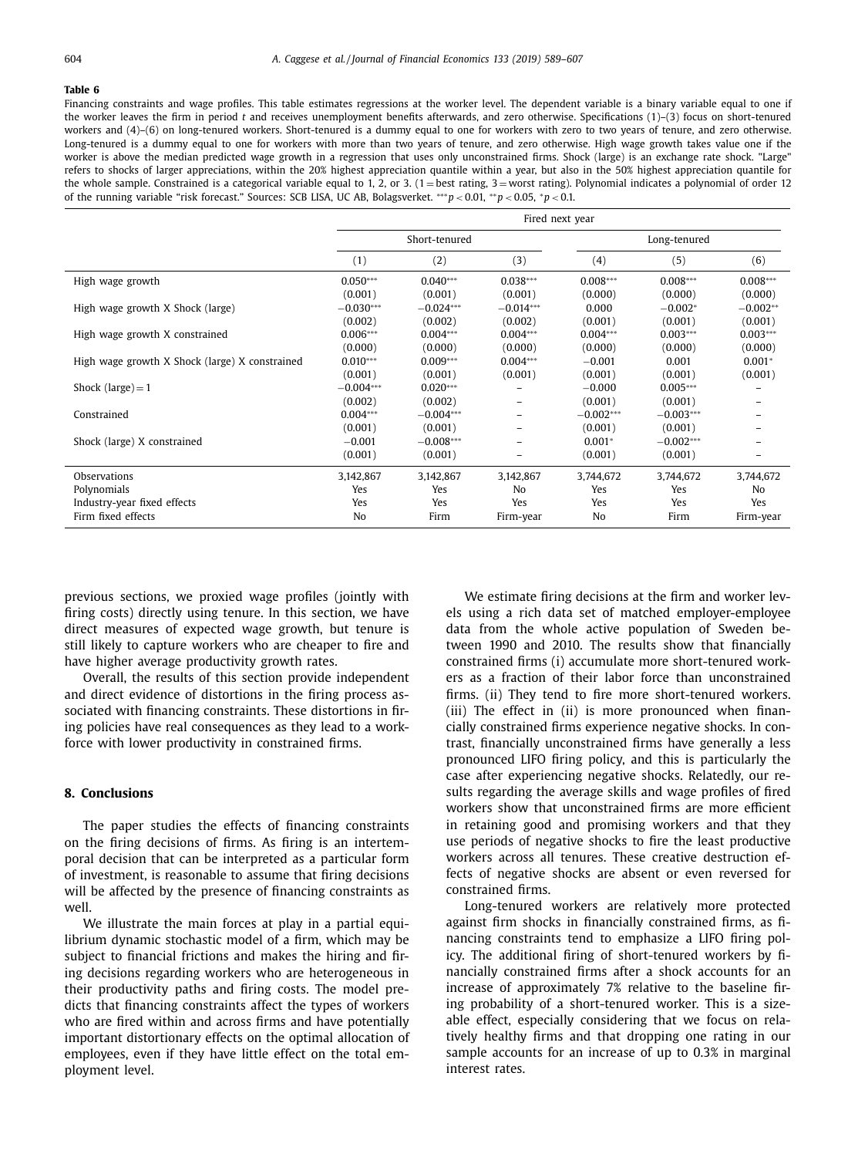<span id="page-15-0"></span>Financing constraints and wage profiles. This table estimates regressions at the worker level. The dependent variable is a binary variable equal to one if the worker leaves the firm in period *t* and receives unemployment benefits afterwards, and zero otherwise. Specifications (1)–(3) focus on short-tenured workers and (4)–(6) on long-tenured workers. Short-tenured is a dummy equal to one for workers with zero to two years of tenure, and zero otherwise. Long-tenured is a dummy equal to one for workers with more than two years of tenure, and zero otherwise. High wage growth takes value one if the worker is above the median predicted wage growth in a regression that uses only unconstrained firms. Shock (large) is an exchange rate shock. "Large" refers to shocks of larger appreciations, within the 20% highest appreciation quantile within a year, but also in the 50% highest appreciation quantile for the whole sample. Constrained is a categorical variable equal to 1, 2, or 3.  $(1 = best rating, 3 = worst rating)$ . Polynomial indicates a polynomial of order 12 of the running variable "risk forecast." Sources: SCB LISA, UC AB, Bolagsverket. ∗∗∗*p* < 0.01, ∗∗*p* < 0.05, <sup>∗</sup>*p* < 0.1.

|                                                | Fired next year |               |                |                |             |                |  |  |
|------------------------------------------------|-----------------|---------------|----------------|----------------|-------------|----------------|--|--|
|                                                |                 | Short-tenured |                | Long-tenured   |             |                |  |  |
|                                                | (1)             | (2)           | (3)            | (4)            | (5)         | (6)            |  |  |
| High wage growth                               | $0.050***$      | $0.040***$    | $0.038***$     | $0.008***$     | $0.008***$  | $0.008***$     |  |  |
|                                                | (0.001)         | (0.001)       | (0.001)        | (0.000)        | (0.000)     | (0.000)        |  |  |
| High wage growth X Shock (large)               | $-0.030***$     | $-0.024***$   | $-0.014***$    | 0.000          | $-0.002*$   | $-0.002**$     |  |  |
|                                                | (0.002)         | (0.002)       | (0.002)        | (0.001)        | (0.001)     | (0.001)        |  |  |
| High wage growth X constrained                 | $0.006***$      | $0.004***$    | $0.004***$     | $0.004***$     | $0.003***$  | $0.003***$     |  |  |
|                                                | (0.000)         | (0.000)       | (0.000)        | (0.000)        | (0.000)     | (0.000)        |  |  |
| High wage growth X Shock (large) X constrained | $0.010***$      | $0.009***$    | $0.004***$     | $-0.001$       | 0.001       | $0.001*$       |  |  |
|                                                | (0.001)         | (0.001)       | (0.001)        | (0.001)        | (0.001)     | (0.001)        |  |  |
| Shock (large) $=$ 1                            | $-0.004***$     | $0.020***$    |                | $-0.000$       | $0.005***$  |                |  |  |
|                                                | (0.002)         | (0.002)       |                | (0.001)        | (0.001)     |                |  |  |
| Constrained                                    | $0.004***$      | $-0.004***$   |                | $-0.002***$    | $-0.003***$ |                |  |  |
|                                                | (0.001)         | (0.001)       |                | (0.001)        | (0.001)     |                |  |  |
| Shock (large) X constrained                    | $-0.001$        | $-0.008***$   |                | $0.001*$       | $-0.002***$ | -              |  |  |
|                                                | (0.001)         | (0.001)       |                | (0.001)        | (0.001)     | $\equiv$       |  |  |
| Observations                                   | 3,142,867       | 3,142,867     | 3,142,867      | 3,744,672      | 3,744,672   | 3,744,672      |  |  |
| Polynomials                                    | Yes             | Yes           | N <sub>0</sub> | Yes            | Yes         | N <sub>o</sub> |  |  |
| Industry-year fixed effects                    | Yes             | Yes           | Yes            | Yes            | Yes         | Yes            |  |  |
| Firm fixed effects                             | No              | Firm          | Firm-year      | N <sub>o</sub> | Firm        | Firm-year      |  |  |

previous sections, we proxied wage profiles (jointly with firing costs) directly using tenure. In this section, we have direct measures of expected wage growth, but tenure is still likely to capture workers who are cheaper to fire and have higher average productivity growth rates.

Overall, the results of this section provide independent and direct evidence of distortions in the firing process associated with financing constraints. These distortions in firing policies have real consequences as they lead to a workforce with lower productivity in constrained firms.

#### **8. Conclusions**

The paper studies the effects of financing constraints on the firing decisions of firms. As firing is an intertemporal decision that can be interpreted as a particular form of investment, is reasonable to assume that firing decisions will be affected by the presence of financing constraints as well.

We illustrate the main forces at play in a partial equilibrium dynamic stochastic model of a firm, which may be subject to financial frictions and makes the hiring and firing decisions regarding workers who are heterogeneous in their productivity paths and firing costs. The model predicts that financing constraints affect the types of workers who are fired within and across firms and have potentially important distortionary effects on the optimal allocation of employees, even if they have little effect on the total employment level.

We estimate firing decisions at the firm and worker levels using a rich data set of matched employer-employee data from the whole active population of Sweden between 1990 and 2010. The results show that financially constrained firms (i) accumulate more short-tenured workers as a fraction of their labor force than unconstrained firms. (ii) They tend to fire more short-tenured workers. (iii) The effect in (ii) is more pronounced when financially constrained firms experience negative shocks. In contrast, financially unconstrained firms have generally a less pronounced LIFO firing policy, and this is particularly the case after experiencing negative shocks. Relatedly, our results regarding the average skills and wage profiles of fired workers show that unconstrained firms are more efficient in retaining good and promising workers and that they use periods of negative shocks to fire the least productive workers across all tenures. These creative destruction effects of negative shocks are absent or even reversed for constrained firms.

Long-tenured workers are relatively more protected against firm shocks in financially constrained firms, as financing constraints tend to emphasize a LIFO firing policy. The additional firing of short-tenured workers by financially constrained firms after a shock accounts for an increase of approximately 7% relative to the baseline firing probability of a short-tenured worker. This is a sizeable effect, especially considering that we focus on relatively healthy firms and that dropping one rating in our sample accounts for an increase of up to 0.3% in marginal interest rates.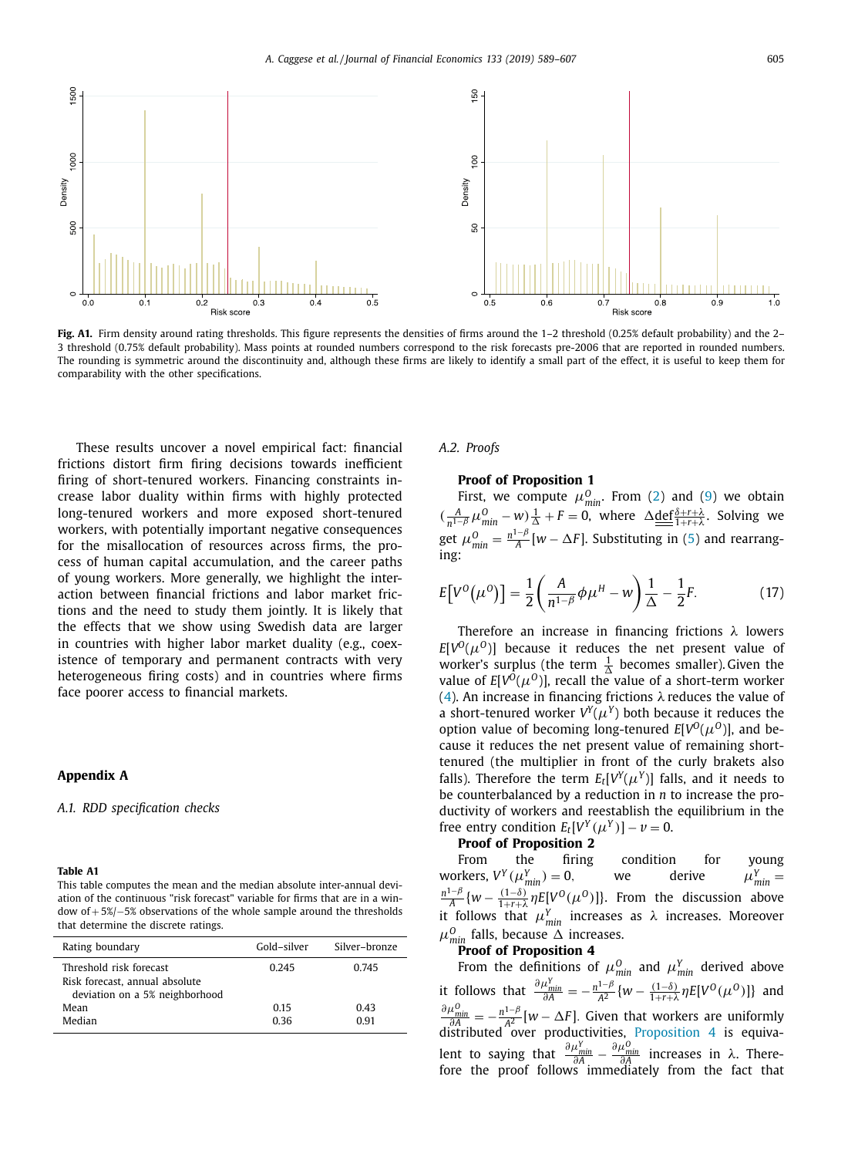<span id="page-16-0"></span>

**Fig. A1.** Firm density around rating thresholds. This figure represents the densities of firms around the 1–2 threshold (0.25% default probability) and the 2– 3 threshold (0.75% default probability). Mass points at rounded numbers correspond to the risk forecasts pre-2006 that are reported in rounded numbers. The rounding is symmetric around the discontinuity and, although these firms are likely to identify a small part of the effect, it is useful to keep them for comparability with the other specifications.

These results uncover a novel empirical fact: financial frictions distort firm firing decisions towards inefficient firing of short-tenured workers. Financing constraints increase labor duality within firms with highly protected long-tenured workers and more exposed short-tenured workers, with potentially important negative consequences for the misallocation of resources across firms, the process of human capital accumulation, and the career paths of young workers. More generally, we highlight the interaction between financial frictions and labor market frictions and the need to study them jointly. It is likely that the effects that we show using Swedish data are larger in countries with higher labor market duality (e.g., coexistence of temporary and permanent contracts with very heterogeneous firing costs) and in countries where firms face poorer access to financial markets.

#### **Appendix A**

#### *A.1. RDD specification checks*

#### **Table A1**

This table computes the mean and the median absolute inter-annual deviation of the continuous "risk forecast" variable for firms that are in a window of + 5%/−5% observations of the whole sample around the thresholds that determine the discrete ratings.

| Rating boundary                                                                             | Gold-silver | Silver-bronze |
|---------------------------------------------------------------------------------------------|-------------|---------------|
| Threshold risk forecast<br>Risk forecast, annual absolute<br>deviation on a 5% neighborhood | 0 2 4 5     | 0.745         |
| Mean                                                                                        | 0.15        | 0.43          |
| Median                                                                                      | 0.36        | O 91          |

#### *A.2. Proofs*

# **Proof of Proposition 1**

First, we compute  $\mu_{min}^0$ . From [\(2\)](#page-3-0) and [\(9\)](#page-4-0) we obtain  $\left(\frac{A}{n^{1-\beta}}\mu_{\min}^0 - w\right)\frac{1}{\Delta} + F = 0$ , where  $\Delta \underline{\text{def}}_{\frac{\Delta + r + \lambda}{1+r+\lambda}}^{\frac{\Delta + r + \lambda}{1+r+\lambda}}$ . Solving we get  $\mu_{\min}^0 = \frac{n^{1-\beta}}{A} [w - \Delta F]$ . Substituting in [\(5\)](#page-3-0) and rearrang-<br>ing:

$$
E[V^{0}(\mu^{0})] = \frac{1}{2} \left( \frac{A}{n^{1-\beta}} \phi \mu^{H} - w \right) \frac{1}{\Delta} - \frac{1}{2} F. \tag{17}
$$

Therefore an increase in financing frictions  $\lambda$  lowers  $E[V^{0}(\mu^{0})]$  because it reduces the net present value of worker's surplus (the term  $\frac{1}{\Delta}$  becomes smaller). Given the value of  $E[V^0(\mu^0)]$ , recall the value of a short-term worker [\(4\)](#page-3-0). An increase in financing frictions  $\lambda$  reduces the value of a short-tenured worker  $V^{Y}(\mu^{Y})$  both because it reduces the option value of becoming long-tenured  $E[V^O(\mu^O)]$ , and because it reduces the net present value of remaining shorttenured (the multiplier in front of the curly brakets also falls). Therefore the term  $E_t[V^Y(\mu^Y)]$  falls, and it needs to be counterbalanced by a reduction in *n* to increase the productivity of workers and reestablish the equilibrium in the free entry condition  $E_t[V^Y(\mu^Y)] - \nu = 0$ .

## **Proof of Proposition 2**

From the firing condition for young workers,  $V^Y(\mu_{min}^Y) = 0$ , we derive  $\mu_{N}^Y$  $\mu_{\min}^{\gamma}$  =  $\frac{n^{1-\beta}}{A}$  {*w* −  $\frac{(1-\delta)}{1+r+\lambda}$ *nE*[*V*<sup>O</sup>( $\mu$ <sup>O</sup>)]}. From the discussion above it follows that  $\mu_{min}^{Y}$  increases as  $\lambda$  increases. Moreover  $\mu_{\min}^0$  falls, because  $\Delta$  increases.

# **Proof of Proposition 4**

From the definitions of  $\mu_{min}^0$  and  $\mu_{min}^Y$  derived above it follows that  $\frac{\partial \mu_{min}^Y}{\partial A} = -\frac{n^{1-\beta}}{A^2} \{w - \frac{(1-\delta)}{1+r+\lambda} \eta E[V^O(\mu^O)]\}$  and  $\frac{\partial \mu_{min}^0}{\partial A} = -\frac{n^{1-\beta}}{A^2} [w - \Delta F]$ . Given that workers are uniformly distributed over productivities, [Proposition](#page-4-0) 4 is equivalent to saying that  $\frac{\partial \mu_{min}^Y}{\partial A} - \frac{\partial \mu_{min}^O}{\partial A}$  increases in λ. There-<br>fore the proof follows immediately from the fact that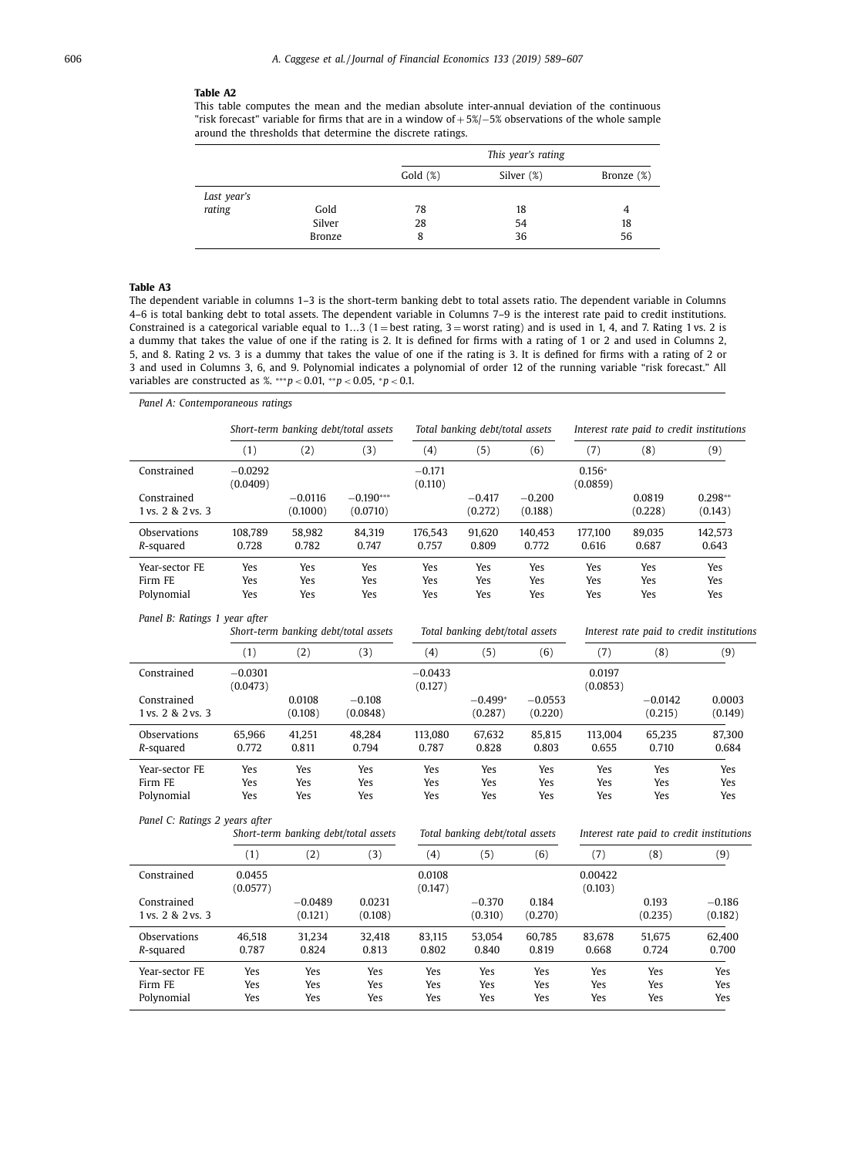# <span id="page-17-0"></span>**Table A2**

This table computes the mean and the median absolute inter-annual deviation of the continuous "risk forecast" variable for firms that are in a window of + 5%/−5% observations of the whole sample around the thresholds that determine the discrete ratings.

|             |        |            | This year's rating |               |
|-------------|--------|------------|--------------------|---------------|
|             |        | $Gold$ (%) | Silver (%)         | Bronze $(\%)$ |
| Last year's |        |            |                    |               |
| rating      | Gold   | 78         | 18                 | 4             |
|             | Silver | 28         | 54                 | 18            |
|             | Bronze | 8          | 36                 | 56            |

# **Table A3**

The dependent variable in columns 1–3 is the short-term banking debt to total assets ratio. The dependent variable in Columns 4–6 is total banking debt to total assets. The dependent variable in Columns 7–9 is the interest rate paid to credit institutions. Constrained is a categorical variable equal to 1...3 (1 = best rating, 3 = worst rating) and is used in 1, 4, and 7. Rating 1 vs. 2 is a dummy that takes the value of one if the rating is 2. It is defined for firms with a rating of 1 or 2 and used in Columns 2, 5, and 8. Rating 2 vs. 3 is a dummy that takes the value of one if the rating is 3. It is defined for firms with a rating of 2 or 3 and used in Columns 3, 6, and 9. Polynomial indicates a polynomial of order 12 of the running variable "risk forecast." All variables are constructed as %. ∗∗∗*p* < 0.01, ∗∗*p* < 0.05, <sup>∗</sup>*p* < 0.1.

| Panel A: Contemporaneous ratings                                      |                       |                                      |                                      |                                 |                                           |                                           |                      |                                           |                      |  |
|-----------------------------------------------------------------------|-----------------------|--------------------------------------|--------------------------------------|---------------------------------|-------------------------------------------|-------------------------------------------|----------------------|-------------------------------------------|----------------------|--|
|                                                                       |                       | Short-term banking debt/total assets |                                      |                                 | Total banking debt/total assets           |                                           |                      | Interest rate paid to credit institutions |                      |  |
|                                                                       | (1)                   | (2)                                  | (3)                                  | (4)                             | (5)                                       | (6)                                       | (7)                  | (8)                                       | (9)                  |  |
| Constrained                                                           | $-0.0292$<br>(0.0409) |                                      |                                      | $-0.171$<br>(0.110)             |                                           |                                           | $0.156*$<br>(0.0859) |                                           |                      |  |
| Constrained<br>1 vs. 2 & 2 vs. 3                                      |                       | $-0.0116$<br>(0.1000)                | $-0.190***$<br>(0.0710)              |                                 | $-0.417$<br>(0.272)                       | $-0.200$<br>(0.188)                       |                      | 0.0819<br>(0.228)                         | $0.298**$<br>(0.143) |  |
| Observations<br>R-squared                                             | 108,789<br>0.728      | 58,982<br>0.782                      | 84,319<br>0.747                      | 176,543<br>0.757                | 91,620<br>0.809                           | 140,453<br>0.772                          | 177,100<br>0.616     | 89,035<br>0.687                           | 142,573<br>0.643     |  |
| Year-sector FE                                                        | Yes                   | Yes                                  | Yes                                  | Yes                             | Yes                                       | Yes                                       | Yes                  | Yes                                       | Yes                  |  |
| Firm FE                                                               | Yes                   | Yes                                  | Yes                                  | Yes                             | Yes                                       | Yes                                       | Yes                  | Yes                                       | Yes                  |  |
| Polynomial                                                            | Yes                   | Yes                                  | Yes                                  | Yes                             | Yes                                       | Yes                                       | Yes                  | Yes                                       | Yes                  |  |
| Panel B: Ratings 1 year after<br>Short-term banking debt/total assets |                       |                                      | Total banking debt/total assets      |                                 | Interest rate paid to credit institutions |                                           |                      |                                           |                      |  |
|                                                                       | (1)                   | (2)                                  | (3)                                  | (4)                             | (5)                                       | (6)                                       | (7)                  | (8)                                       | (9)                  |  |
| Constrained                                                           | $-0.0301$<br>(0.0473) |                                      |                                      | $-0.0433$<br>(0.127)            |                                           |                                           | 0.0197<br>(0.0853)   |                                           |                      |  |
| Constrained                                                           |                       | 0.0108                               | $-0.108$                             |                                 | $-0.499*$                                 | $-0.0553$                                 |                      | $-0.0142$                                 | 0.0003               |  |
| 1 vs. 2 & 2 vs. 3                                                     |                       | (0.108)                              | (0.0848)                             |                                 | (0.287)                                   | (0.220)                                   |                      | (0.215)                                   | (0.149)              |  |
| Observations                                                          | 65,966                | 41,251                               | 48,284                               | 113,080                         | 67,632                                    | 85,815                                    | 113,004              | 65,235                                    | 87,300               |  |
| R-squared                                                             | 0.772                 | 0.811                                | 0.794                                | 0.787                           | 0.828                                     | 0.803                                     | 0.655                | 0.710                                     | 0.684                |  |
| Year-sector FE                                                        | Yes                   | Yes                                  | Yes                                  | Yes                             | Yes                                       | Yes                                       | Yes                  | Yes                                       | Yes                  |  |
| Firm FE                                                               | Yes                   | Yes                                  | Yes                                  | Yes                             | Yes                                       | Yes                                       | Yes                  | Yes                                       | Yes                  |  |
| Polynomial                                                            | Yes                   | Yes                                  | Yes                                  | Yes                             | Yes                                       | Yes                                       | Yes                  | Yes                                       | Yes                  |  |
| Panel C: Ratings 2 years after                                        |                       |                                      | Short-term banking debt/total assets | Total banking debt/total assets |                                           | Interest rate paid to credit institutions |                      |                                           |                      |  |
|                                                                       | (1)                   | (2)                                  | (3)                                  | (4)                             | (5)                                       | (6)                                       | (7)                  | (8)                                       | (9)                  |  |
| Constrained                                                           | 0.0455<br>(0.0577)    |                                      |                                      | 0.0108<br>(0.147)               |                                           |                                           | 0.00422<br>(0.103)   |                                           |                      |  |
| Constrained                                                           |                       | $-0.0489$                            | 0.0231                               |                                 | $-0.370$                                  | 0.184                                     |                      | 0.193                                     | $-0.186$             |  |
| 1 vs. 2 & 2 vs. 3                                                     |                       | (0.121)                              | (0.108)                              |                                 | (0.310)                                   | (0.270)                                   |                      | (0.235)                                   | (0.182)              |  |
| Observations                                                          | 46,518                | 31,234                               | 32,418                               | 83,115                          | 53,054                                    | 60,785                                    | 83,678               | 51,675                                    | 62,400               |  |
| R-squared                                                             | 0.787                 | 0.824                                | 0.813                                | 0.802                           | 0.840                                     | 0.819                                     | 0.668                | 0.724                                     | 0.700                |  |
| Year-sector FE                                                        | Yes                   | Yes                                  | Yes                                  | Yes                             | Yes                                       | Yes                                       | Yes                  | Yes                                       | Yes                  |  |
| Firm FE                                                               | Yes                   | Yes                                  | Yes                                  | Yes                             | Yes                                       | Yes                                       | Yes                  | Yes                                       | Yes                  |  |
| Polynomial                                                            | Yes                   | Yes                                  | Yes                                  | Yes                             | Yes                                       | Yes                                       | Yes                  | Yes                                       | Yes                  |  |